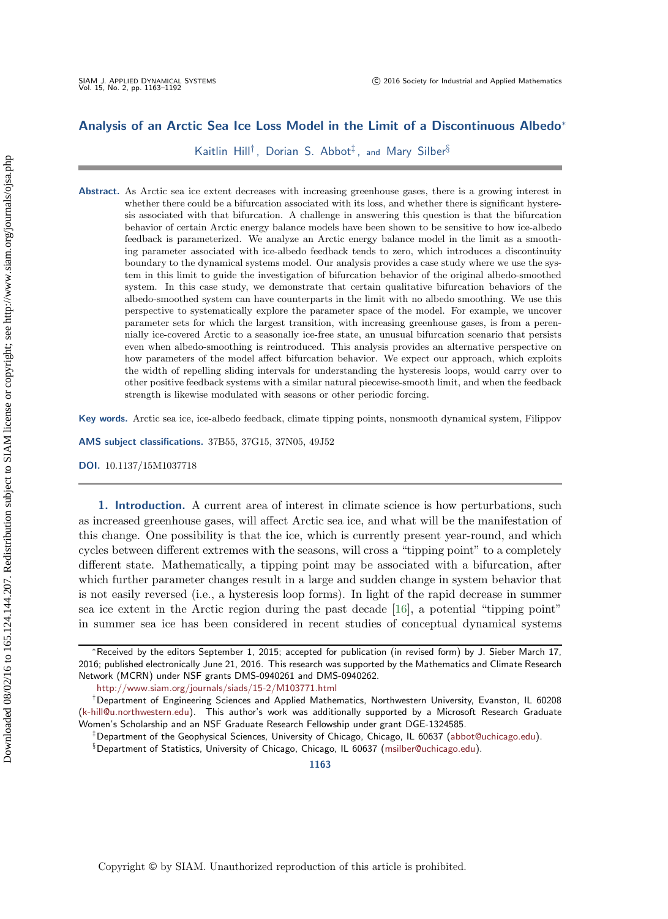# **Analysis of an Arctic Sea Ice Loss Model in the Limit of a Discontinuous Albedo**<sup>∗</sup>

Kaitlin Hill<sup>†</sup>, Dorian S. Abbot<sup>‡</sup>, and Mary Silber<sup>§</sup>

**Abstract.** As Arctic sea ice extent decreases with increasing greenhouse gases, there is a growing interest in whether there could be a bifurcation associated with its loss, and whether there is significant hysteresis associated with that bifurcation. A challenge in answering this question is that the bifurcation behavior of certain Arctic energy balance models have been shown to be sensitive to how ice-albedo feedback is parameterized. We analyze an Arctic energy balance model in the limit as a smoothing parameter associated with ice-albedo feedback tends to zero, which introduces a discontinuity boundary to the dynamical systems model. Our analysis provides a case study where we use the system in this limit to guide the investigation of bifurcation behavior of the original albedo-smoothed system. In this case study, we demonstrate that certain qualitative bifurcation behaviors of the albedo-smoothed system can have counterparts in the limit with no albedo smoothing. We use this perspective to systematically explore the parameter space of the model. For example, we uncover parameter sets for which the largest transition, with increasing greenhouse gases, is from a perennially ice-covered Arctic to a seasonally ice-free state, an unusual bifurcation scenario that persists even when albedo-smoothing is reintroduced. This analysis provides an alternative perspective on how parameters of the model affect bifurcation behavior. We expect our approach, which exploits the width of repelling sliding intervals for understanding the hysteresis loops, would carry over to other positive feedback systems with a similar natural piecewise-smooth limit, and when the feedback strength is likewise modulated with seasons or other periodic forcing.

**Key words.** Arctic sea ice, ice-albedo feedback, climate tipping points, nonsmooth dynamical system, Filippov

**AMS subject classifications.** 37B55, 37G15, 37N05, 49J52

**DOI.** 10.1137/15M1037718

**1. Introduction.** A current area of interest in climate science is how perturbations, such as increased greenhouse gases, will affect Arctic sea ice, and what will be the manifestation of this change. One possibility is that the ice, which is currently present year-round, and which cycles between different extremes with the seasons, will cross a "tipping point" to a completely different state. Mathematically, a tipping point may be associated with a bifurcation, after which further parameter changes result in a large and sudden change in system behavior that is not easily reversed (i.e., a hysteresis loop forms). In light of the rapid decrease in summer sea ice extent in the Arctic region during the past decade [\[16\]](#page-29-0), a potential "tipping point" in summer sea ice has been considered in recent studies of conceptual dynamical systems

**1163**

<sup>∗</sup>Received by the editors September 1, 2015; accepted for publication (in revised form) by J. Sieber March 17, 2016; published electronically June 21, 2016. This research was supported by the Mathematics and Climate Research Network (MCRN) under NSF grants DMS-0940261 and DMS-0940262.

<http://www.siam.org/journals/siads/15-2/M103771.html>

<sup>†</sup>Department of Engineering Sciences and Applied Mathematics, Northwestern University, Evanston, IL 60208 [\(k-hill@u.northwestern.edu\)](mailto:k-hill@u.northwestern.edu). This author's work was additionally supported by a Microsoft Research Graduate Women's Scholarship and an NSF Graduate Research Fellowship under grant DGE-1324585.

<sup>‡</sup>Department of the Geophysical Sciences, University of Chicago, Chicago, IL 60637 [\(abbot@uchicago.edu\)](mailto:abbot@uchicago.edu).

<sup>§</sup>Department of Statistics, University of Chicago, Chicago, IL 60637 [\(msilber@uchicago.edu\)](mailto:msilber@uchicago.edu).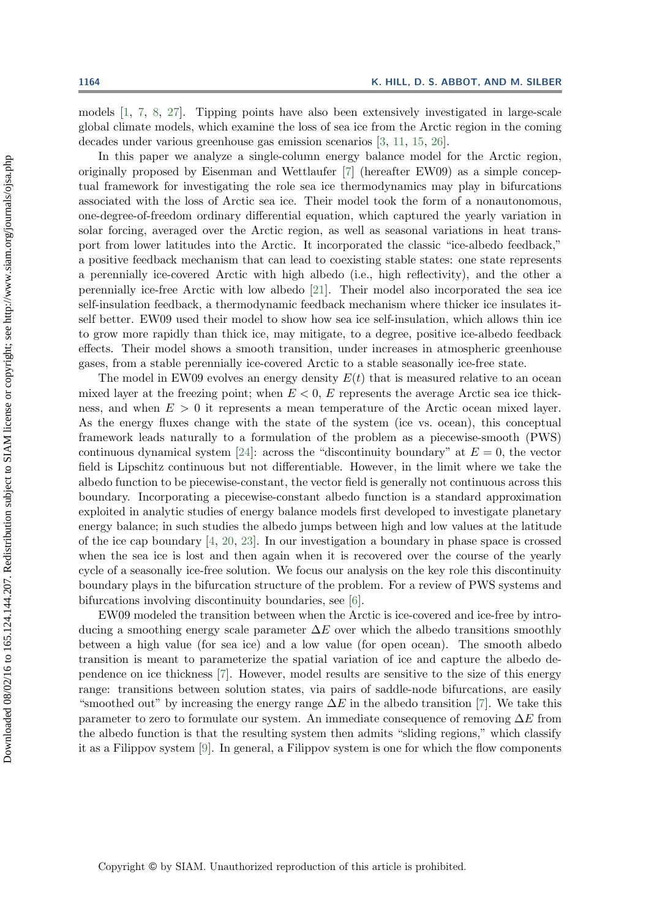models [\[1,](#page-28-0) [7,](#page-29-1) [8,](#page-29-2) [27\]](#page-29-3). Tipping points have also been extensively investigated in large-scale global climate models, which examine the loss of sea ice from the Arctic region in the coming decades under various greenhouse gas emission scenarios [\[3,](#page-28-1) [11,](#page-29-4) [15,](#page-29-5) [26\]](#page-29-6).

In this paper we analyze a single-column energy balance model for the Arctic region, originally proposed by Eisenman and Wettlaufer [\[7\]](#page-29-1) (hereafter EW09) as a simple conceptual framework for investigating the role sea ice thermodynamics may play in bifurcations associated with the loss of Arctic sea ice. Their model took the form of a nonautonomous, one-degree-of-freedom ordinary differential equation, which captured the yearly variation in solar forcing, averaged over the Arctic region, as well as seasonal variations in heat transport from lower latitudes into the Arctic. It incorporated the classic "ice-albedo feedback," a positive feedback mechanism that can lead to coexisting stable states: one state represents a perennially ice-covered Arctic with high albedo (i.e., high reflectivity), and the other a perennially ice-free Arctic with low albedo [\[21\]](#page-29-7). Their model also incorporated the sea ice self-insulation feedback, a thermodynamic feedback mechanism where thicker ice insulates itself better. EW09 used their model to show how sea ice self-insulation, which allows thin ice to grow more rapidly than thick ice, may mitigate, to a degree, positive ice-albedo feedback effects. Their model shows a smooth transition, under increases in atmospheric greenhouse gases, from a stable perennially ice-covered Arctic to a stable seasonally ice-free state.

The model in EW09 evolves an energy density  $E(t)$  that is measured relative to an ocean mixed layer at the freezing point; when  $E < 0$ , E represents the average Arctic sea ice thickness, and when  $E > 0$  it represents a mean temperature of the Arctic ocean mixed layer. As the energy fluxes change with the state of the system (ice vs. ocean), this conceptual framework leads naturally to a formulation of the problem as a piecewise-smooth (PWS) continuous dynamical system [\[24\]](#page-29-8): across the "discontinuity boundary" at  $E = 0$ , the vector field is Lipschitz continuous but not differentiable. However, in the limit where we take the albedo function to be piecewise-constant, the vector field is generally not continuous across this boundary. Incorporating a piecewise-constant albedo function is a standard approximation exploited in analytic studies of energy balance models first developed to investigate planetary energy balance; in such studies the albedo jumps between high and low values at the latitude of the ice cap boundary [\[4,](#page-28-2) [20,](#page-29-9) [23\]](#page-29-10). In our investigation a boundary in phase space is crossed when the sea ice is lost and then again when it is recovered over the course of the yearly cycle of a seasonally ice-free solution. We focus our analysis on the key role this discontinuity boundary plays in the bifurcation structure of the problem. For a review of PWS systems and bifurcations involving discontinuity boundaries, see [\[6\]](#page-29-11).

EW09 modeled the transition between when the Arctic is ice-covered and ice-free by introducing a smoothing energy scale parameter  $\Delta E$  over which the albedo transitions smoothly between a high value (for sea ice) and a low value (for open ocean). The smooth albedo transition is meant to parameterize the spatial variation of ice and capture the albedo dependence on ice thickness [\[7\]](#page-29-1). However, model results are sensitive to the size of this energy range: transitions between solution states, via pairs of saddle-node bifurcations, are easily "smoothed out" by increasing the energy range  $\Delta E$  in the albedo transition [\[7\]](#page-29-1). We take this parameter to zero to formulate our system. An immediate consequence of removing  $\Delta E$  from the albedo function is that the resulting system then admits "sliding regions," which classify it as a Filippov system [\[9\]](#page-29-12). In general, a Filippov system is one for which the flow components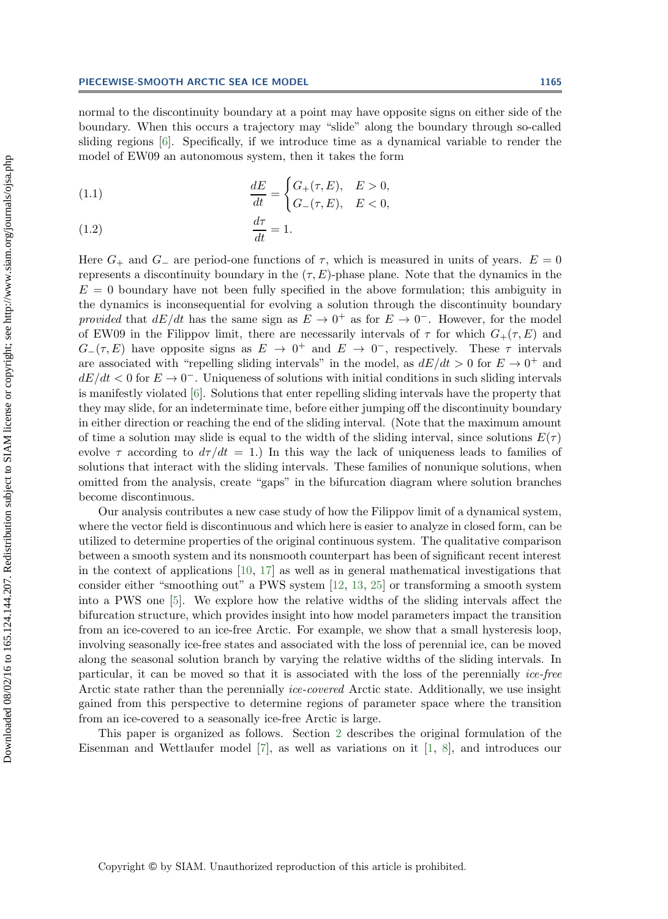normal to the discontinuity boundary at a point may have opposite signs on either side of the boundary. When this occurs a trajectory may "slide" along the boundary through so-called sliding regions [\[6\]](#page-29-11). Specifically, if we introduce time as a dynamical variable to render the model of EW09 an autonomous system, then it takes the form

(1.1) 
$$
\frac{dE}{dt} = \begin{cases} G_{+}(\tau, E), & E > 0, \\ G_{-}(\tau, E), & E < 0, \end{cases}
$$

$$
\frac{d\tau}{dt} = 1.
$$

Here  $G_+$  and  $G_-$  are period-one functions of  $\tau$ , which is measured in units of years.  $E = 0$ represents a discontinuity boundary in the  $(\tau, E)$ -phase plane. Note that the dynamics in the  $E = 0$  boundary have not been fully specified in the above formulation; this ambiguity in the dynamics is inconsequential for evolving a solution through the discontinuity boundary *provided* that  $dE/dt$  has the same sign as  $E \to 0^+$  as for  $E \to 0^-$ . However, for the model of EW09 in the Filippov limit, there are necessarily intervals of  $\tau$  for which  $G_+(\tau, E)$  and  $G_{-}(\tau,E)$  have opposite signs as  $E \to 0^+$  and  $E \to 0^-$ , respectively. These  $\tau$  intervals are associated with "repelling sliding intervals" in the model, as  $dE/dt > 0$  for  $E \rightarrow 0^+$  and  $dE/dt < 0$  for  $E \to 0^-$ . Uniqueness of solutions with initial conditions in such sliding intervals is manifestly violated [\[6\]](#page-29-11). Solutions that enter repelling sliding intervals have the property that they may slide, for an indeterminate time, before either jumping off the discontinuity boundary in either direction or reaching the end of the sliding interval. (Note that the maximum amount of time a solution may slide is equal to the width of the sliding interval, since solutions  $E(\tau)$ evolve  $\tau$  according to  $d\tau/dt = 1$ . In this way the lack of uniqueness leads to families of solutions that interact with the sliding intervals. These families of nonunique solutions, when omitted from the analysis, create "gaps" in the bifurcation diagram where solution branches become discontinuous.

Our analysis contributes a new case study of how the Filippov limit of a dynamical system, where the vector field is discontinuous and which here is easier to analyze in closed form, can be utilized to determine properties of the original continuous system. The qualitative comparison between a smooth system and its nonsmooth counterpart has been of significant recent interest in the context of applications [\[10,](#page-29-13) [17\]](#page-29-14) as well as in general mathematical investigations that consider either "smoothing out" a PWS system [\[12,](#page-29-15) [13,](#page-29-16) [25\]](#page-29-17) or transforming a smooth system into a PWS one [\[5\]](#page-28-3). We explore how the relative widths of the sliding intervals affect the bifurcation structure, which provides insight into how model parameters impact the transition from an ice-covered to an ice-free Arctic. For example, we show that a small hysteresis loop, involving seasonally ice-free states and associated with the loss of perennial ice, can be moved along the seasonal solution branch by varying the relative widths of the sliding intervals. In particular, it can be moved so that it is associated with the loss of the perennially *ice-free* Arctic state rather than the perennially *ice-covered* Arctic state. Additionally, we use insight gained from this perspective to determine regions of parameter space where the transition from an ice-covered to a seasonally ice-free Arctic is large.

This paper is organized as follows. Section [2](#page-3-0) describes the original formulation of the Eisenman and Wettlaufer model [\[7\]](#page-29-1), as well as variations on it [\[1,](#page-28-0) [8\]](#page-29-2), and introduces our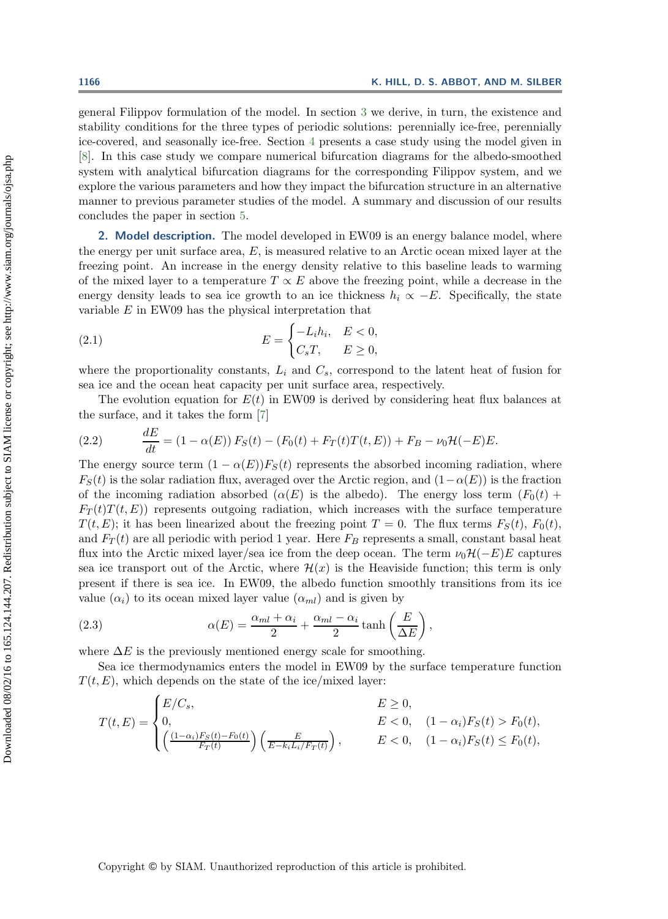general Filippov formulation of the model. In section [3](#page-7-0) we derive, in turn, the existence and stability conditions for the three types of periodic solutions: perennially ice-free, perennially ice-covered, and seasonally ice-free. Section [4](#page-12-0) presents a case study using the model given in [\[8\]](#page-29-2). In this case study we compare numerical bifurcation diagrams for the albedo-smoothed system with analytical bifurcation diagrams for the corresponding Filippov system, and we explore the various parameters and how they impact the bifurcation structure in an alternative manner to previous parameter studies of the model. A summary and discussion of our results concludes the paper in section [5.](#page-20-0)

<span id="page-3-0"></span>**2. Model description.** The model developed in EW09 is an energy balance model, where the energy per unit surface area,  $E$ , is measured relative to an Arctic ocean mixed layer at the freezing point. An increase in the energy density relative to this baseline leads to warming of the mixed layer to a temperature  $T \propto E$  above the freezing point, while a decrease in the energy density leads to sea ice growth to an ice thickness  $h_i \propto -E$ . Specifically, the state variable  $E$  in EW09 has the physical interpretation that

<span id="page-3-1"></span>(2.1) 
$$
E = \begin{cases} -L_i h_i, & E < 0, \\ C_s T, & E \ge 0, \end{cases}
$$

where the proportionality constants,  $L_i$  and  $C_s$ , correspond to the latent heat of fusion for sea ice and the ocean heat capacity per unit surface area, respectively.

The evolution equation for  $E(t)$  in EW09 is derived by considering heat flux balances at the surface, and it takes the form [\[7\]](#page-29-1)

<span id="page-3-2"></span>(2.2) 
$$
\frac{dE}{dt} = (1 - \alpha(E)) F_S(t) - (F_0(t) + F_T(t)T(t, E)) + F_B - \nu_0 \mathcal{H}(-E)E.
$$

The energy source term  $(1 - \alpha(E))F_S(t)$  represents the absorbed incoming radiation, where  $F_S(t)$  is the solar radiation flux, averaged over the Arctic region, and  $(1-\alpha(E))$  is the fraction of the incoming radiation absorbed  $(\alpha(E))$  is the albedo). The energy loss term  $(F_0(t) +$  $F_T(t)T(t, E)$  represents outgoing radiation, which increases with the surface temperature  $T(t, E)$ ; it has been linearized about the freezing point  $T = 0$ . The flux terms  $F<sub>S</sub>(t)$ ,  $F<sub>0</sub>(t)$ , and  $F_T(t)$  are all periodic with period 1 year. Here  $F_B$  represents a small, constant basal heat flux into the Arctic mixed layer/sea ice from the deep ocean. The term  $\nu_0\mathcal{H}(-E)E$  captures sea ice transport out of the Arctic, where  $\mathcal{H}(x)$  is the Heaviside function; this term is only present if there is sea ice. In EW09, the albedo function smoothly transitions from its ice value  $(\alpha_i)$  to its ocean mixed layer value  $(\alpha_{ml})$  and is given by

<span id="page-3-3"></span>(2.3) 
$$
\alpha(E) = \frac{\alpha_{ml} + \alpha_i}{2} + \frac{\alpha_{ml} - \alpha_i}{2} \tanh\left(\frac{E}{\Delta E}\right),
$$

where  $\Delta E$  is the previously mentioned energy scale for smoothing.

Sea ice thermodynamics enters the model in EW09 by the surface temperature function  $T(t, E)$ , which depends on the state of the ice/mixed layer:

$$
T(t, E) = \begin{cases} E/C_s, & E \ge 0, \\ 0, & E < 0, \\ \left(\frac{(1-\alpha_i)F_S(t) - F_0(t)}{F_T(t)}\right) \left(\frac{E}{E - k_i L_i / F_T(t)}\right), & E < 0, \\ \left(\frac{(1-\alpha_i)F_S(t) - F_0(t)}{F_T(t)}\right) \left(\frac{E}{E - k_i L_i / F_T(t)}\right), & E < 0, \\ \left(\frac{E - E}{E - k_i L_i / F_T(t)}\right) \left(\frac{E}{E - k_i L_i / F_T(t)}\right), & E < 0, \\ \left(\frac{E - E}{E - k_i L_i / F_T(t)}\right) \left(\frac{E - E}{E - k_i L_i / F_T(t)}\right), & E < 0, \\ \left(\frac{E - E}{E - k_i L_i / F_T(t)}\right) \left(\frac{E - E}{E - k_i L_i / F_T(t)}\right), & E < 0, \\ \left(\frac{E - E}{E - k_i L_i / F_T(t)}\right) \left(\frac{E - E}{E - k_i L_i / F_T(t)}\right), & E < 0, \\ \left(\frac{E - E}{E - k_i L_i / F_T(t)}\right) \left(\frac{E - E}{E - k_i L_i / F_T(t)}\right), & E < 0, \\ \left(\frac{E - E}{E - k_i L_i / F_T(t)}\right) \left(\frac{E - E}{E - k_i L_i / F_T(t)}\right), & E < 0, \\ \left(\frac{E - E}{E - k_i L_i / F_T(t)}\right) \left(\frac{E - E}{E - k_i L_i / F_T(t)}\right), & E < 0, \\ \left(\frac{E - E}{E - k_i L_i / F_T(t)}\right) \left(\frac{E - E}{E - k_i L_i / F_T(t)}\right), & E < 0, \\ \left(\frac{E - E}{E - k_i L_i / F_T(t)}\right) \left(\frac{E - E}{E - k_i L_i / F_T(t)}\right), & E < 0, \\ \left(\frac{E - E}{E - k_i L_i / F_T(t)}\right) \left(\frac{E - E}{E - k_i L_i / F_T(t)}\right), & E < 0, \\ \left(\frac{E - E}{E - k_i L_i / F_T(t)}\right) \left(\frac{E - E}{E - k_i L_i / F_T(t)}\right), & E < 0, \\ \left(\frac{E - E}{E - k_i L_i / F_T(t)}\right) \left(\frac{E - E}{E
$$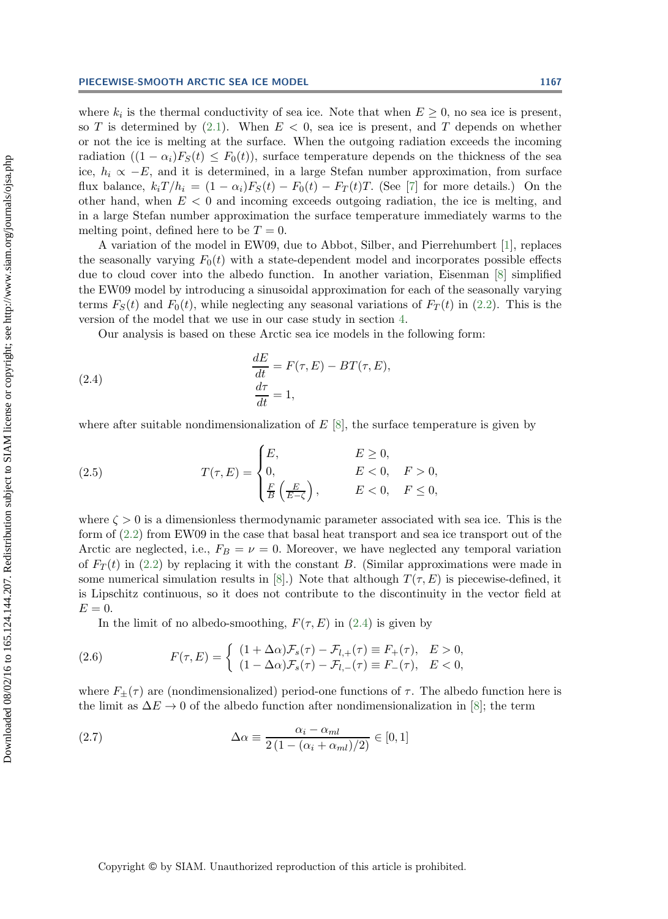where  $k_i$  is the thermal conductivity of sea ice. Note that when  $E \geq 0$ , no sea ice is present, so T is determined by  $(2.1)$ . When  $E < 0$ , sea ice is present, and T depends on whether or not the ice is melting at the surface. When the outgoing radiation exceeds the incoming radiation  $((1 - \alpha_i)F_S(t) \leq F_0(t))$ , surface temperature depends on the thickness of the sea ice,  $h_i \propto -E$ , and it is determined, in a large Stefan number approximation, from surface flux balance,  $k_i T / h_i = (1 - \alpha_i) F_S(t) - F_0(t) - F_T(t) T$ . (See [\[7\]](#page-29-1) for more details.) On the other hand, when  $E < 0$  and incoming exceeds outgoing radiation, the ice is melting, and in a large Stefan number approximation the surface temperature immediately warms to the melting point, defined here to be  $T = 0$ .

A variation of the model in EW09, due to Abbot, Silber, and Pierrehumbert [\[1\]](#page-28-0), replaces the seasonally varying  $F_0(t)$  with a state-dependent model and incorporates possible effects due to cloud cover into the albedo function. In another variation, Eisenman [\[8\]](#page-29-2) simplified the EW09 model by introducing a sinusoidal approximation for each of the seasonally varying terms  $F<sub>S</sub>(t)$  and  $F<sub>0</sub>(t)$ , while neglecting any seasonal variations of  $F<sub>T</sub>(t)$  in [\(2.2\)](#page-3-2). This is the version of the model that we use in our case study in section [4.](#page-12-0)

Our analysis is based on these Arctic sea ice models in the following form:

<span id="page-4-0"></span>(2.4) 
$$
\frac{dE}{dt} = F(\tau, E) - BT(\tau, E),
$$

$$
\frac{d\tau}{dt} = 1,
$$

where after suitable nondimensionalization of  $E[8]$  $E[8]$ , the surface temperature is given by

<span id="page-4-2"></span>(2.5) 
$$
T(\tau, E) = \begin{cases} E, & E \ge 0, \\ 0, & E < 0, \\ \frac{F}{B} \left( \frac{E}{E - \zeta} \right), & E < 0, \\ F & E < 0, \end{cases} \quad F \ge 0,
$$

where  $\zeta > 0$  is a dimensionless thermodynamic parameter associated with sea ice. This is the form of [\(2.2\)](#page-3-2) from EW09 in the case that basal heat transport and sea ice transport out of the Arctic are neglected, i.e.,  $F_B = \nu = 0$ . Moreover, we have neglected any temporal variation of  $F_T(t)$  in [\(2.2\)](#page-3-2) by replacing it with the constant B. (Similar approximations were made in some numerical simulation results in [\[8\]](#page-29-2).) Note that although  $T(\tau, E)$  is piecewise-defined, it is Lipschitz continuous, so it does not contribute to the discontinuity in the vector field at  $E=0.$ 

In the limit of no albedo-smoothing,  $F(\tau, E)$  in [\(2.4\)](#page-4-0) is given by

<span id="page-4-1"></span>(2.6) 
$$
F(\tau, E) = \begin{cases} (1 + \Delta \alpha) \mathcal{F}_s(\tau) - \mathcal{F}_{l,+}(\tau) \equiv F_+(\tau), & E > 0, \\ (1 - \Delta \alpha) \mathcal{F}_s(\tau) - \mathcal{F}_{l,-}(\tau) \equiv F_-(\tau), & E < 0, \end{cases}
$$

where  $F_{+}(\tau)$  are (nondimensionalized) period-one functions of  $\tau$ . The albedo function here is the limit as  $\Delta E \rightarrow 0$  of the albedo function after nondimensionalization in [\[8\]](#page-29-2); the term

<span id="page-4-3"></span>(2.7) 
$$
\Delta \alpha \equiv \frac{\alpha_i - \alpha_{ml}}{2(1 - (\alpha_i + \alpha_{ml})/2)} \in [0, 1]
$$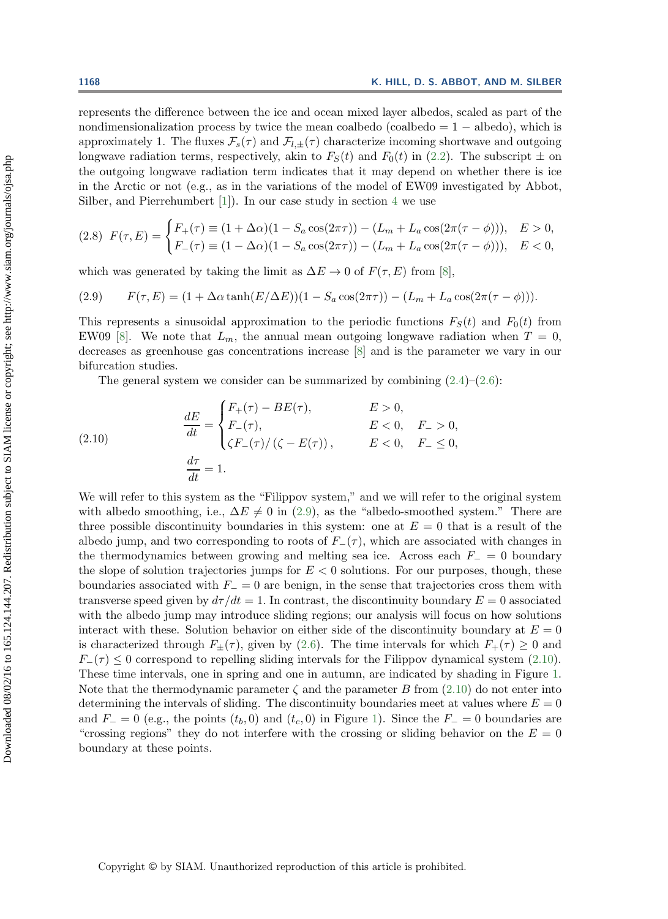represents the difference between the ice and ocean mixed layer albedos, scaled as part of the nondimensionalization process by twice the mean coalbedo (coalbedo =  $1 -$  albedo), which is approximately 1. The fluxes  $\mathcal{F}_s(\tau)$  and  $\mathcal{F}_{l,\pm}(\tau)$  characterize incoming shortwave and outgoing longwave radiation terms, respectively, akin to  $F_S(t)$  and  $F_0(t)$  in [\(2.2\)](#page-3-2). The subscript  $\pm$  on the outgoing longwave radiation term indicates that it may depend on whether there is ice in the Arctic or not (e.g., as in the variations of the model of EW09 investigated by Abbot, Silber, and Pierrehumbert [\[1\]](#page-28-0)). In our case study in section [4](#page-12-0) we use

$$
(2.8)\ \ F(\tau,E) = \begin{cases} F_{+}(\tau) \equiv (1 + \Delta \alpha)(1 - S_a \cos(2\pi \tau)) - (L_m + L_a \cos(2\pi(\tau - \phi))), & E > 0, \\ F_{-}(\tau) \equiv (1 - \Delta \alpha)(1 - S_a \cos(2\pi \tau)) - (L_m + L_a \cos(2\pi(\tau - \phi))), & E < 0, \end{cases}
$$

which was generated by taking the limit as  $\Delta E \rightarrow 0$  of  $F(\tau, E)$  from [\[8\]](#page-29-2),

<span id="page-5-0"></span>(2.9) 
$$
F(\tau, E) = (1 + \Delta \alpha \tanh(E/\Delta E))(1 - S_a \cos(2\pi \tau)) - (L_m + L_a \cos(2\pi(\tau - \phi))).
$$

This represents a sinusoidal approximation to the periodic functions  $F<sub>S</sub>(t)$  and  $F<sub>0</sub>(t)$  from EW09 [\[8\]](#page-29-2). We note that  $L_m$ , the annual mean outgoing longwave radiation when  $T = 0$ , decreases as greenhouse gas concentrations increase [\[8\]](#page-29-2) and is the parameter we vary in our bifurcation studies.

<span id="page-5-1"></span>The general system we consider can be summarized by combining  $(2.4)$ – $(2.6)$ :

(2.10) 
$$
\frac{dE}{dt} = \begin{cases} F_{+}(\tau) - BE(\tau), & E > 0, \\ F_{-}(\tau), & E < 0, \\ \zeta F_{-}(\tau) / (\zeta - E(\tau)), & E < 0, \\ \frac{d\tau}{dt} = 1. \end{cases} \quad E_{+}(\tau) = 0,
$$

We will refer to this system as the "Filippov system," and we will refer to the original system with albedo smoothing, i.e.,  $\Delta E \neq 0$  in [\(2.9\)](#page-5-0), as the "albedo-smoothed system." There are three possible discontinuity boundaries in this system: one at  $E = 0$  that is a result of the albedo jump, and two corresponding to roots of  $F_-(\tau)$ , which are associated with changes in the thermodynamics between growing and melting sea ice. Across each  $F_ = 0$  boundary the slope of solution trajectories jumps for  $E < 0$  solutions. For our purposes, though, these boundaries associated with  $F_ = 0$  are benign, in the sense that trajectories cross them with transverse speed given by  $d\tau/dt = 1$ . In contrast, the discontinuity boundary  $E = 0$  associated with the albedo jump may introduce sliding regions; our analysis will focus on how solutions interact with these. Solution behavior on either side of the discontinuity boundary at  $E = 0$ is characterized through  $F_{\pm}(\tau)$ , given by [\(2.6\)](#page-4-1). The time intervals for which  $F_{+}(\tau) \ge 0$  and  $F_-(\tau) \leq 0$  correspond to repelling sliding intervals for the Filippov dynamical system [\(2.10\)](#page-5-1). These time intervals, one in spring and one in autumn, are indicated by shading in Figure [1.](#page-6-0) Note that the thermodynamic parameter  $\zeta$  and the parameter B from [\(2.10\)](#page-5-1) do not enter into determining the intervals of sliding. The discontinuity boundaries meet at values where  $E = 0$ and  $F_-=0$  (e.g., the points  $(t_b, 0)$  and  $(t_c, 0)$  in Figure [1\)](#page-6-0). Since the  $F_-=0$  boundaries are "crossing regions" they do not interfere with the crossing or sliding behavior on the  $E = 0$ boundary at these points.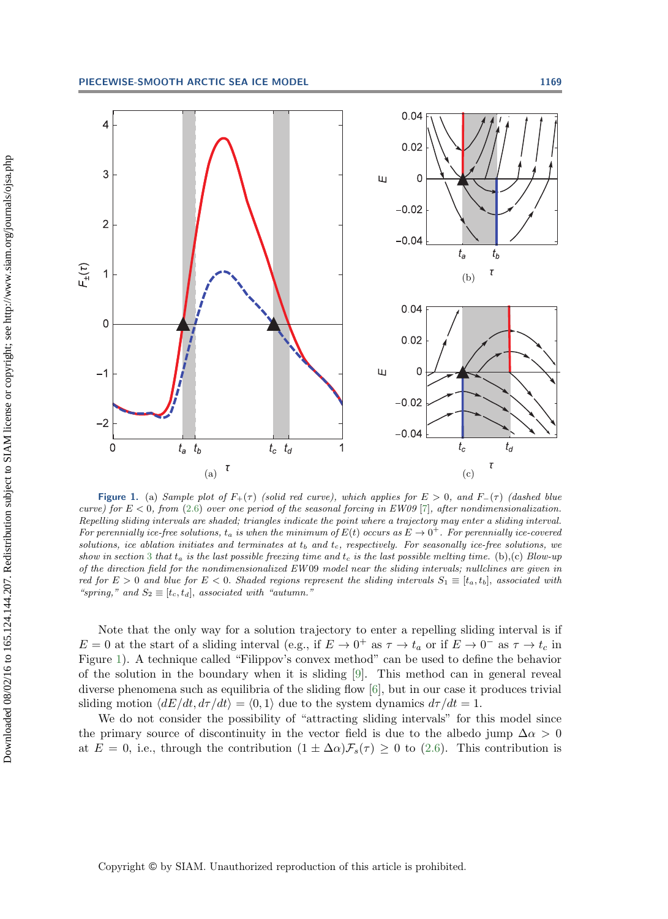<span id="page-6-0"></span>

**Figure 1.** (a) Sample plot of  $F_+(\tau)$  (solid red curve), which applies for  $E > 0$ , and  $F_-(\tau)$  (dashed blue curve) for  $E < 0$ , from [\(2.6\)](#page-4-1) over one period of the seasonal forcing in EW09 [\[7\]](#page-29-1), after nondimensionalization. Repelling sliding intervals are shaded; triangles indicate the point where a trajectory may enter a sliding interval. For perennially ice-free solutions,  $t_a$  is when the minimum of  $E(t)$  occurs as  $E \to 0^+$ . For perennially ice-covered solutions, ice ablation initiates and terminates at  $t<sub>b</sub>$  and  $t<sub>c</sub>$ , respectively. For seasonally ice-free solutions, we show in section [3](#page-7-0) that  $t_a$  is the last possible freezing time and  $t_c$  is the last possible melting time. (b),(c) Blow-up of the direction field for the nondimensionalized EW 09 model near the sliding intervals; nullclines are given in red for  $E > 0$  and blue for  $E < 0$ . Shaded regions represent the sliding intervals  $S_1 \equiv [t_a, t_b]$ , associated with "spring," and  $S_2 \equiv [t_c, t_d]$ , associated with "autumn."

Note that the only way for a solution trajectory to enter a repelling sliding interval is if  $E = 0$  at the start of a sliding interval (e.g., if  $E \to 0^+$  as  $\tau \to t_a$  or if  $E \to 0^-$  as  $\tau \to t_c$  in Figure [1\)](#page-6-0). A technique called "Filippov's convex method" can be used to define the behavior of the solution in the boundary when it is sliding [\[9\]](#page-29-12). This method can in general reveal diverse phenomena such as equilibria of the sliding flow [\[6\]](#page-29-11), but in our case it produces trivial sliding motion  $\langle dE/dt, d\tau/dt \rangle = \langle 0, 1 \rangle$  due to the system dynamics  $d\tau/dt = 1$ .

We do not consider the possibility of "attracting sliding intervals" for this model since the primary source of discontinuity in the vector field is due to the albedo jump  $\Delta \alpha > 0$ at  $E = 0$ , i.e., through the contribution  $(1 \pm \Delta \alpha) \mathcal{F}_s(\tau) \geq 0$  to [\(2.6\)](#page-4-1). This contribution is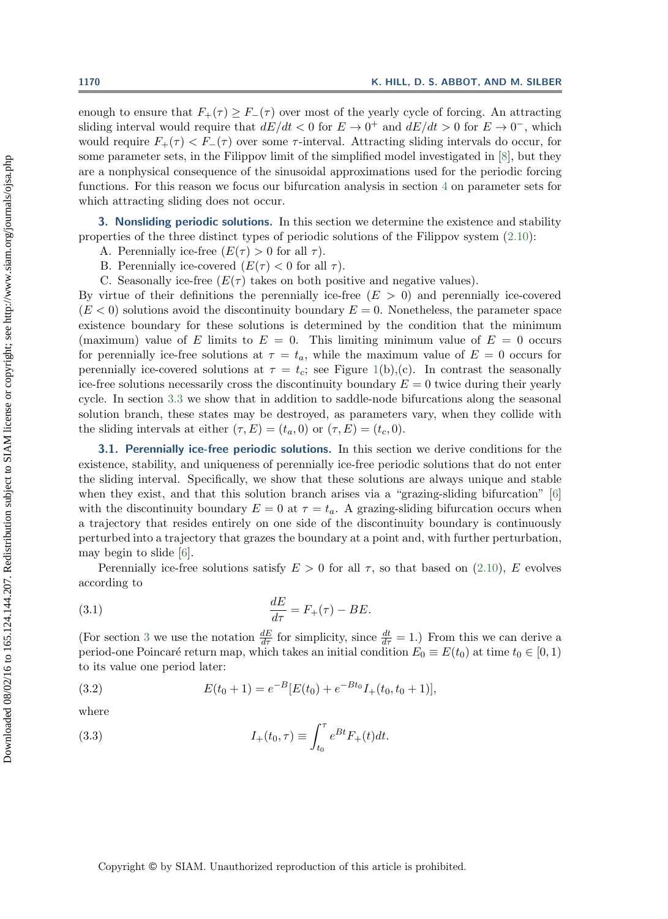enough to ensure that  $F_+(\tau) \geq F_-(\tau)$  over most of the yearly cycle of forcing. An attracting sliding interval would require that  $dE/dt < 0$  for  $E \to 0^+$  and  $dE/dt > 0$  for  $E \to 0^-$ , which would require  $F_+(\tau) < F_-(\tau)$  over some  $\tau$ -interval. Attracting sliding intervals do occur, for some parameter sets, in the Filippov limit of the simplified model investigated in [\[8\]](#page-29-2), but they are a nonphysical consequence of the sinusoidal approximations used for the periodic forcing functions. For this reason we focus our bifurcation analysis in section [4](#page-12-0) on parameter sets for which attracting sliding does not occur.

<span id="page-7-0"></span>**3. Nonsliding periodic solutions.** In this section we determine the existence and stability properties of the three distinct types of periodic solutions of the Filippov system [\(2.10\)](#page-5-1):

A. Perennially ice-free  $(E(\tau) > 0$  for all  $\tau)$ .

- B. Perennially ice-covered  $(E(\tau) < 0$  for all  $\tau$ ).
- C. Seasonally ice-free  $(E(\tau))$  takes on both positive and negative values).

By virtue of their definitions the perennially ice-free  $(E > 0)$  and perennially ice-covered  $(E < 0)$  solutions avoid the discontinuity boundary  $E = 0$ . Nonetheless, the parameter space existence boundary for these solutions is determined by the condition that the minimum (maximum) value of E limits to  $E = 0$ . This limiting minimum value of  $E = 0$  occurs for perennially ice-free solutions at  $\tau = t_a$ , while the maximum value of  $E = 0$  occurs for perennially ice-covered solutions at  $\tau = t_c$ ; see Figure [1\(](#page-6-0)b),(c). In contrast the seasonally ice-free solutions necessarily cross the discontinuity boundary  $E = 0$  twice during their yearly cycle. In section [3.3](#page-10-0) we show that in addition to saddle-node bifurcations along the seasonal solution branch, these states may be destroyed, as parameters vary, when they collide with the sliding intervals at either  $(\tau, E)=(t_a, 0)$  or  $(\tau, E)=(t_c, 0)$ .

**3.1. Perennially ice-free periodic solutions.** In this section we derive conditions for the existence, stability, and uniqueness of perennially ice-free periodic solutions that do not enter the sliding interval. Specifically, we show that these solutions are always unique and stable when they exist, and that this solution branch arises via a "grazing-sliding bifurcation" [\[6\]](#page-29-11) with the discontinuity boundary  $E = 0$  at  $\tau = t_a$ . A grazing-sliding bifurcation occurs when a trajectory that resides entirely on one side of the discontinuity boundary is continuously perturbed into a trajectory that grazes the boundary at a point and, with further perturbation, may begin to slide [\[6\]](#page-29-11).

Perennially ice-free solutions satisfy  $E > 0$  for all  $\tau$ , so that based on [\(2.10\)](#page-5-1), E evolves according to

(3.1) 
$$
\frac{dE}{d\tau} = F_{+}(\tau) - BE.
$$

(For section [3](#page-7-0) we use the notation  $\frac{dE}{dr}$  for simplicity, since  $\frac{dt}{dr} = 1$ .) From this we can derive a period-one Poincaré return map, which takes an initial condition  $E_0 \equiv E(t_0)$  at time  $t_0 \in [0, 1)$ to its value one period later:

(3.2) 
$$
E(t_0 + 1) = e^{-B} [E(t_0) + e^{-Bt_0} I_+(t_0, t_0 + 1)],
$$

where

(3.3) 
$$
I_{+}(t_{0},\tau) \equiv \int_{t_{0}}^{\tau} e^{Bt} F_{+}(t) dt.
$$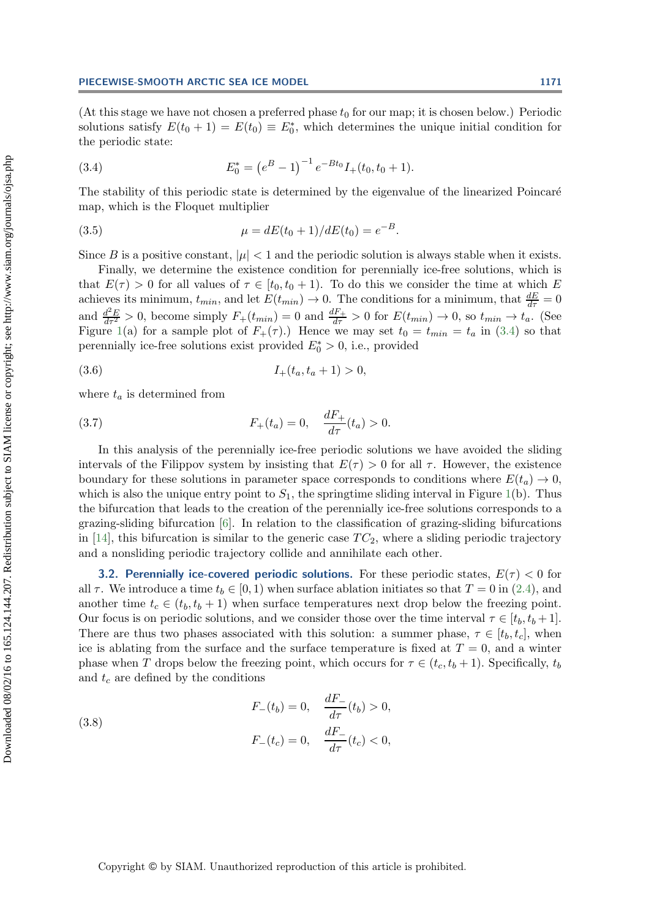(At this stage we have not chosen a preferred phase  $t_0$  for our map; it is chosen below.) Periodic solutions satisfy  $E(t_0 + 1) = E(t_0) \equiv E_0^*$ , which determines the unique initial condition for the periodic state:

<span id="page-8-0"></span>(3.4) 
$$
E_0^* = (e^B - 1)^{-1} e^{-Bt_0} I_+(t_0, t_0 + 1).
$$

The stability of this periodic state is determined by the eigenvalue of the linearized Poincaré map, which is the Floquet multiplier

(3.5) 
$$
\mu = dE(t_0 + 1)/dE(t_0) = e^{-B}.
$$

Since B is a positive constant,  $|\mu| < 1$  and the periodic solution is always stable when it exists.

Finally, we determine the existence condition for perennially ice-free solutions, which is that  $E(\tau) > 0$  for all values of  $\tau \in [t_0, t_0 + 1)$ . To do this we consider the time at which E achieves its minimum,  $t_{min}$ , and let  $E(t_{min}) \to 0$ . The conditions for a minimum, that  $\frac{dE}{d\tau} = 0$ and  $\frac{d^2E}{dr^2} > 0$ , become simply  $F_+(t_{min}) = 0$  and  $\frac{dF_+}{dr} > 0$  for  $E(t_{min}) \to 0$ , so  $t_{min} \to t_a$ . (See Figure [1\(](#page-6-0)a) for a sample plot of  $F_+(\tau)$ .) Hence we may set  $t_0 = t_{min} = t_a$  in [\(3.4\)](#page-8-0) so that perennially ice-free solutions exist provided  $E_0^* > 0$ , i.e., provided

<span id="page-8-2"></span>
$$
(3.6) \t\t I_{+}(t_{a}, t_{a} + 1) > 0,
$$

where  $t_a$  is determined from

(3.7) 
$$
F_{+}(t_{a}) = 0, \quad \frac{dF_{+}}{d\tau}(t_{a}) > 0.
$$

In this analysis of the perennially ice-free periodic solutions we have avoided the sliding intervals of the Filippov system by insisting that  $E(\tau) > 0$  for all  $\tau$ . However, the existence boundary for these solutions in parameter space corresponds to conditions where  $E(t_a) \rightarrow 0$ , which is also the unique entry point to  $S_1$ , the springtime sliding interval in Figure [1\(](#page-6-0)b). Thus the bifurcation that leads to the creation of the perennially ice-free solutions corresponds to a grazing-sliding bifurcation [\[6\]](#page-29-11). In relation to the classification of grazing-sliding bifurcations in [\[14\]](#page-29-18), this bifurcation is similar to the generic case  $TC_2$ , where a sliding periodic trajectory and a nonsliding periodic trajectory collide and annihilate each other.

**3.2. Perennially ice-covered periodic solutions.** For these periodic states,  $E(\tau) < 0$  for all  $\tau$ . We introduce a time  $t_b \in [0, 1)$  when surface ablation initiates so that  $T = 0$  in [\(2.4\)](#page-4-0), and another time  $t_c \in (t_b, t_b + 1)$  when surface temperatures next drop below the freezing point. Our focus is on periodic solutions, and we consider those over the time interval  $\tau \in [t_b, t_b + 1]$ . There are thus two phases associated with this solution: a summer phase,  $\tau \in [t_b, t_c]$ , when ice is ablating from the surface and the surface temperature is fixed at  $T = 0$ , and a winter phase when T drops below the freezing point, which occurs for  $\tau \in (t_c, t_b + 1)$ . Specifically,  $t_b$ and  $t_c$  are defined by the conditions

<span id="page-8-1"></span>(3.8) 
$$
F_{-}(t_b) = 0, \quad \frac{dF_{-}}{d\tau}(t_b) > 0,
$$

$$
F_{-}(t_c) = 0, \quad \frac{dF_{-}}{d\tau}(t_c) < 0,
$$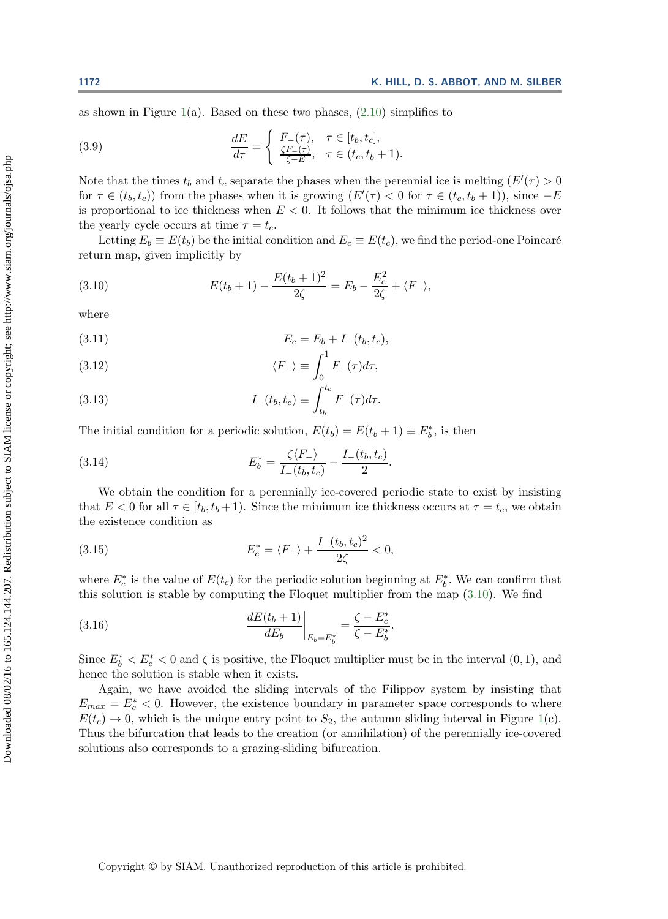as shown in Figure [1\(](#page-6-0)a). Based on these two phases,  $(2.10)$  simplifies to

(3.9) 
$$
\frac{dE}{d\tau} = \begin{cases} F_{-}(\tau), & \tau \in [t_b, t_c], \\ \frac{\zeta F_{-}(\tau)}{\zeta - E}, & \tau \in (t_c, t_b + 1). \end{cases}
$$

Note that the times  $t_b$  and  $t_c$  separate the phases when the perennial ice is melting  $(E'(\tau) > 0$ for  $\tau \in (t_b, t_c)$  from the phases when it is growing  $(E'(\tau) < 0$  for  $\tau \in (t_c, t_b + 1)$ , since  $-E$ is proportional to ice thickness when  $E < 0$ . It follows that the minimum ice thickness over the yearly cycle occurs at time  $\tau = t_c$ .

Letting  $E_b \equiv E(t_b)$  be the initial condition and  $E_c \equiv E(t_c)$ , we find the period-one Poincaré return map, given implicitly by

<span id="page-9-0"></span>(3.10) 
$$
E(t_b+1) - \frac{E(t_b+1)^2}{2\zeta} = E_b - \frac{E_c^2}{2\zeta} + \langle F_- \rangle,
$$

where

(3.11) 
$$
E_c = E_b + I_-(t_b, t_c),
$$

(3.12) 
$$
\langle F_{-} \rangle \equiv \int_{0}^{1} F_{-}(\tau) d\tau,
$$

(3.13) 
$$
I_{-}(t_{b}, t_{c}) \equiv \int_{t_{b}}^{t_{c}} F_{-}(\tau) d\tau.
$$

The initial condition for a periodic solution,  $E(t_b) = E(t_b + 1) \equiv E_b^*$ , is then

(3.14) 
$$
E_b^* = \frac{\zeta \langle F_- \rangle}{I_-(t_b, t_c)} - \frac{I_-(t_b, t_c)}{2}.
$$

We obtain the condition for a perennially ice-covered periodic state to exist by insisting that  $E < 0$  for all  $\tau \in [t_b, t_b + 1)$ . Since the minimum ice thickness occurs at  $\tau = t_c$ , we obtain the existence condition as

<span id="page-9-1"></span>(3.15) 
$$
E_c^* = \langle F_- \rangle + \frac{I_-(t_b, t_c)^2}{2\zeta} < 0,
$$

where  $E_c^*$  is the value of  $E(t_c)$  for the periodic solution beginning at  $E_b^*$ . We can confirm that this solution is stable by computing the Floquet multiplier from the map [\(3.10\)](#page-9-0). We find

(3.16) 
$$
\left. \frac{dE(t_b+1)}{dE_b} \right|_{E_b=E_b^*} = \frac{\zeta - E_c^*}{\zeta - E_b^*}.
$$

Since  $E_b^* < E_c^* < 0$  and  $\zeta$  is positive, the Floquet multiplier must be in the interval  $(0, 1)$ , and hence the solution is stable when it exists.

Again, we have avoided the sliding intervals of the Filippov system by insisting that  $E_{max} = E_c^* < 0$ . However, the existence boundary in parameter space corresponds to where  $E(t_c) \rightarrow 0$ , which is the unique entry point to  $S_2$ , the autumn sliding interval in Figure [1\(](#page-6-0)c). Thus the bifurcation that leads to the creation (or annihilation) of the perennially ice-covered solutions also corresponds to a grazing-sliding bifurcation.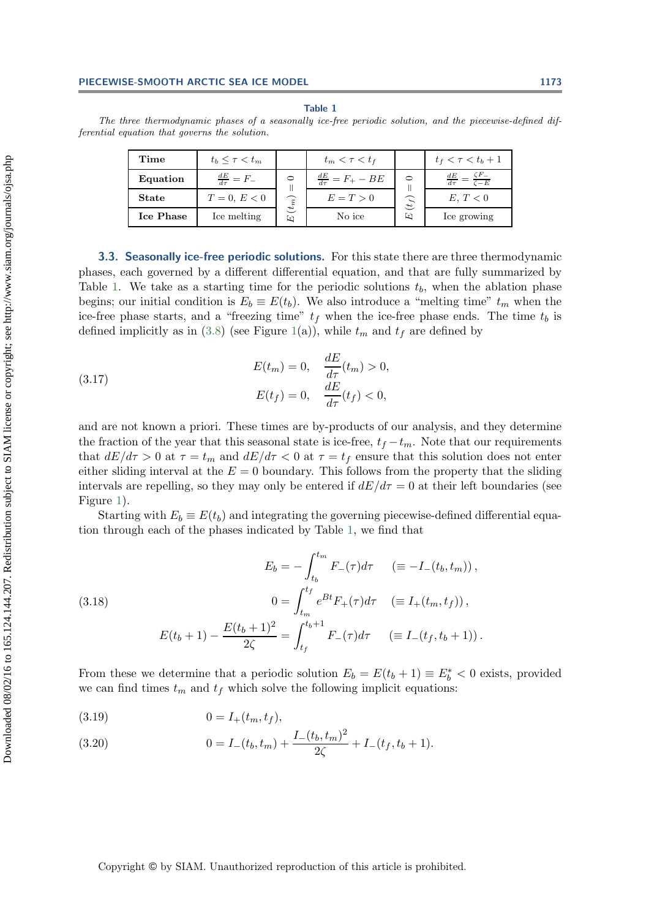#### **Table 1**

<span id="page-10-1"></span>The three thermodynamic phases of a seasonally ice-free periodic solution, and the piecewise-defined differential equation that governs the solution.

| Time         | $t_b \leq \tau \lt t_m$  |         | $t_m < \tau < t_f$            |         | $t_f < \tau < t_b + 1$ |
|--------------|--------------------------|---------|-------------------------------|---------|------------------------|
| Equation     | $\frac{dE}{d\tau}=F_{-}$ |         | $\frac{dE}{d\tau} = F_+ - BE$ |         |                        |
| <b>State</b> | $T = 0, E < 0$           | $(t_m)$ | $E=T>0$                       | $(t_f)$ | E, T < 0               |
| Ice Phase    | Ice melting              |         | No ice                        | Œ       | Ice growing            |

<span id="page-10-0"></span>**3.3. Seasonally ice-free periodic solutions.** For this state there are three thermodynamic phases, each governed by a different differential equation, and that are fully summarized by Table [1.](#page-10-1) We take as a starting time for the periodic solutions  $t<sub>b</sub>$ , when the ablation phase begins; our initial condition is  $E_b \equiv E(t_b)$ . We also introduce a "melting time"  $t_m$  when the ice-free phase starts, and a "freezing time"  $t_f$  when the ice-free phase ends. The time  $t_b$  is defined implicitly as in [\(3.8\)](#page-8-1) (see Figure [1\(](#page-6-0)a)), while  $t_m$  and  $t_f$  are defined by

(3.17) 
$$
E(t_m) = 0, \quad \frac{dE}{d\tau}(t_m) > 0,
$$

$$
E(t_f) = 0, \quad \frac{dE}{d\tau}(t_f) < 0,
$$

and are not known a priori. These times are by-products of our analysis, and they determine the fraction of the year that this seasonal state is ice-free,  $t_f - t_m$ . Note that our requirements that  $dE/d\tau > 0$  at  $\tau = t_m$  and  $dE/d\tau < 0$  at  $\tau = t_f$  ensure that this solution does not enter either sliding interval at the  $E = 0$  boundary. This follows from the property that the sliding intervals are repelling, so they may only be entered if  $dE/d\tau = 0$  at their left boundaries (see Figure [1\)](#page-6-0).

Starting with  $E_b \equiv E(t_b)$  and integrating the governing piecewise-defined differential equation through each of the phases indicated by Table [1,](#page-10-1) we find that

<span id="page-10-3"></span>(3.18)  
\n
$$
E_b = -\int_{t_b}^{t_m} F_{-}(\tau) d\tau \quad (\equiv -I_{-}(t_b, t_m)),
$$
\n
$$
0 = \int_{t_m}^{t_f} e^{Bt} F_{+}(\tau) d\tau \quad (\equiv I_{+}(t_m, t_f)),
$$
\n
$$
E(t_b + 1) - \frac{E(t_b + 1)^2}{2\zeta} = \int_{t_f}^{t_b + 1} F_{-}(\tau) d\tau \quad (\equiv I_{-}(t_f, t_b + 1)).
$$

From these we determine that a periodic solution  $E_b = E(t_b + 1) \equiv E_b^* < 0$  exists, provided we can find times  $t_m$  and  $t_f$  which solve the following implicit equations:

<span id="page-10-2"></span>(3.19) 
$$
0 = I_+(t_m, t_f),
$$

(3.20) 
$$
0 = I_{-}(t_b, t_m) + \frac{I_{-}(t_b, t_m)^2}{2\zeta} + I_{-}(t_f, t_b + 1).
$$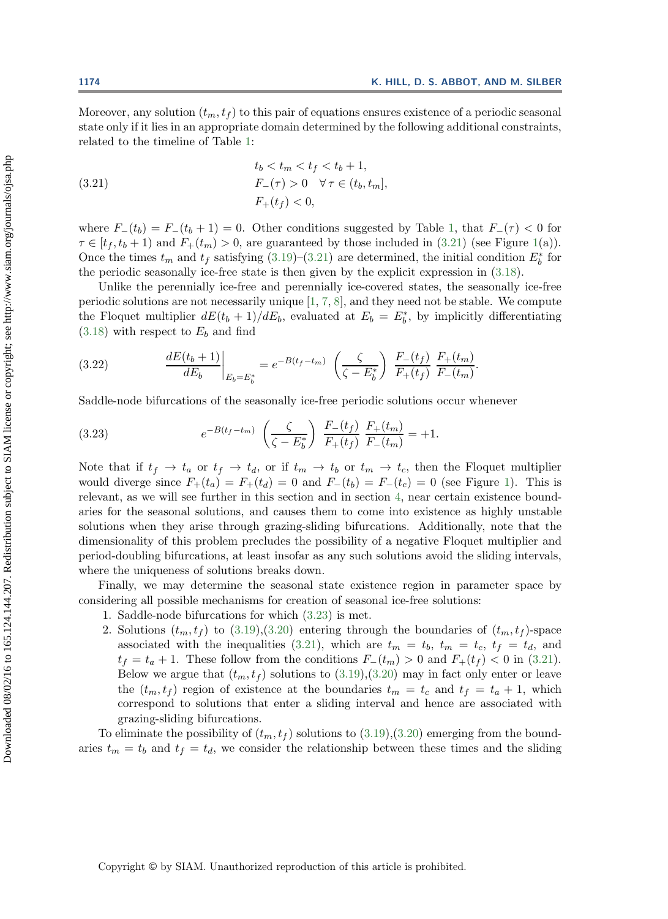Moreover, any solution  $(t_m, t_f)$  to this pair of equations ensures existence of a periodic seasonal state only if it lies in an appropriate domain determined by the following additional constraints, related to the timeline of Table [1:](#page-10-1)

<span id="page-11-0"></span>(3.21) 
$$
t_b < t_m < t_f < t_b + 1,
$$

$$
F_{-}(\tau) > 0 \quad \forall \tau \in (t_b, t_m],
$$

$$
F_{+}(t_f) < 0,
$$

where  $F_-(t_b) = F_-(t_b + 1) = 0$ . Other conditions suggested by Table [1,](#page-10-1) that  $F_-(\tau) < 0$  for  $\tau \in [t_f, t_b + 1)$  and  $F_+(t_m) > 0$ , are guaranteed by those included in [\(3.21\)](#page-11-0) (see Figure [1\(](#page-6-0)a)). Once the times  $t_m$  and  $t_f$  satisfying [\(3.19\)](#page-10-2)–[\(3.21\)](#page-11-0) are determined, the initial condition  $E_b^*$  for the periodic seasonally ice-free state is then given by the explicit expression in [\(3.18\)](#page-10-3).

Unlike the perennially ice-free and perennially ice-covered states, the seasonally ice-free periodic solutions are not necessarily unique [\[1,](#page-28-0) [7,](#page-29-1) [8\]](#page-29-2), and they need not be stable. We compute the Floquet multiplier  $dE(t_b + 1)/dE_b$ , evaluated at  $E_b = E_b^*$ , by implicitly differentiating  $(3.18)$  with respect to  $E_b$  and find

<span id="page-11-2"></span>(3.22) 
$$
\frac{dE(t_b+1)}{dE_b}\Big|_{E_b=E_b^*} = e^{-B(t_f-t_m)} \left(\frac{\zeta}{\zeta - E_b^*}\right) \frac{F_-(t_f)}{F_+(t_f)} \frac{F_+(t_m)}{F_-(t_m)}.
$$

Saddle-node bifurcations of the seasonally ice-free periodic solutions occur whenever

<span id="page-11-1"></span>(3.23) 
$$
e^{-B(t_f - t_m)} \left(\frac{\zeta}{\zeta - E_b^*}\right) \frac{F_-(t_f)}{F_+(t_f)} \frac{F_+(t_m)}{F_-(t_m)} = +1.
$$

Note that if  $t_f \to t_a$  or  $t_f \to t_d$ , or if  $t_m \to t_b$  or  $t_m \to t_c$ , then the Floquet multiplier would diverge since  $F_+(t_a) = F_+(t_d) = 0$  and  $F_-(t_b) = F_-(t_c) = 0$  (see Figure [1\)](#page-6-0). This is relevant, as we will see further in this section and in section [4,](#page-12-0) near certain existence boundaries for the seasonal solutions, and causes them to come into existence as highly unstable solutions when they arise through grazing-sliding bifurcations. Additionally, note that the dimensionality of this problem precludes the possibility of a negative Floquet multiplier and period-doubling bifurcations, at least insofar as any such solutions avoid the sliding intervals, where the uniqueness of solutions breaks down.

Finally, we may determine the seasonal state existence region in parameter space by considering all possible mechanisms for creation of seasonal ice-free solutions:

- 1. Saddle-node bifurcations for which [\(3.23\)](#page-11-1) is met.
- 2. Solutions  $(t_m, t_f)$  to  $(3.19),(3.20)$  $(3.19),(3.20)$  $(3.19),(3.20)$  entering through the boundaries of  $(t_m, t_f)$ -space associated with the inequalities [\(3.21\)](#page-11-0), which are  $t_m = t_b$ ,  $t_m = t_c$ ,  $t_f = t_d$ , and  $t_f = t_a + 1$ . These follow from the conditions  $F_-(t_m) > 0$  and  $F_+(t_f) < 0$  in [\(3.21\)](#page-11-0). Below we argue that  $(t_m, t_f)$  solutions to  $(3.19),(3.20)$  $(3.19),(3.20)$  $(3.19),(3.20)$  may in fact only enter or leave the  $(t_m, t_f)$  region of existence at the boundaries  $t_m = t_c$  and  $t_f = t_a + 1$ , which correspond to solutions that enter a sliding interval and hence are associated with grazing-sliding bifurcations.

To eliminate the possibility of  $(t_m, t_f)$  solutions to  $(3.19),(3.20)$  $(3.19),(3.20)$  $(3.19),(3.20)$  emerging from the boundaries  $t_m = t_b$  and  $t_f = t_d$ , we consider the relationship between these times and the sliding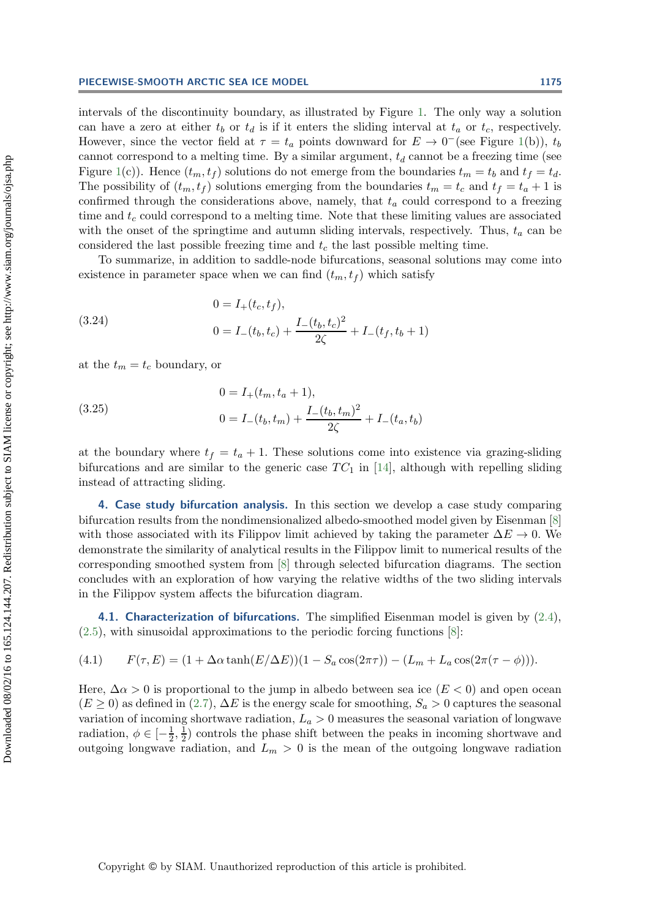## **PIECEWISE-SMOOTH ARCTIC SEA ICE MODEL 1175**

intervals of the discontinuity boundary, as illustrated by Figure [1.](#page-6-0) The only way a solution can have a zero at either  $t_b$  or  $t_d$  is if it enters the sliding interval at  $t_a$  or  $t_c$ , respectively. However, since the vector field at  $\tau = t_a$  points downward for  $E \to 0^-$  (see Figure [1\(](#page-6-0)b)),  $t_b$ cannot correspond to a melting time. By a similar argument,  $t_d$  cannot be a freezing time (see Figure [1\(](#page-6-0)c)). Hence  $(t_m, t_f)$  solutions do not emerge from the boundaries  $t_m = t_b$  and  $t_f = t_d$ . The possibility of  $(t_m, t_f)$  solutions emerging from the boundaries  $t_m = t_c$  and  $t_f = t_a + 1$  is confirmed through the considerations above, namely, that  $t_a$  could correspond to a freezing time and  $t_c$  could correspond to a melting time. Note that these limiting values are associated with the onset of the springtime and autumn sliding intervals, respectively. Thus,  $t_a$  can be considered the last possible freezing time and  $t_c$  the last possible melting time.

To summarize, in addition to saddle-node bifurcations, seasonal solutions may come into existence in parameter space when we can find  $(t_m, t_f)$  which satisfy

(3.24) 
$$
0 = I_{+}(t_c, t_f),
$$

$$
0 = I_{-}(t_b, t_c) + \frac{I_{-}(t_b, t_c)^2}{2\zeta} + I_{-}(t_f, t_b + 1)
$$

at the  $t_m = t_c$  boundary, or

(3.25) 
$$
0 = I_{+}(t_{m}, t_{a} + 1),
$$

$$
0 = I_{-}(t_{b}, t_{m}) + \frac{I_{-}(t_{b}, t_{m})^{2}}{2\zeta} + I_{-}(t_{a}, t_{b})
$$

at the boundary where  $t_f = t_a + 1$ . These solutions come into existence via grazing-sliding bifurcations and are similar to the generic case  $TC_1$  in [\[14\]](#page-29-18), although with repelling sliding instead of attracting sliding.

<span id="page-12-0"></span>**4. Case study bifurcation analysis.** In this section we develop a case study comparing bifurcation results from the nondimensionalized albedo-smoothed model given by Eisenman [\[8\]](#page-29-2) with those associated with its Filippov limit achieved by taking the parameter  $\Delta E \rightarrow 0$ . We demonstrate the similarity of analytical results in the Filippov limit to numerical results of the corresponding smoothed system from [\[8\]](#page-29-2) through selected bifurcation diagrams. The section concludes with an exploration of how varying the relative widths of the two sliding intervals in the Filippov system affects the bifurcation diagram.

**4.1. Characterization of bifurcations.** The simplified Eisenman model is given by [\(2.4\)](#page-4-0), [\(2.5\)](#page-4-2), with sinusoidal approximations to the periodic forcing functions [\[8\]](#page-29-2):

<span id="page-12-1"></span>(4.1) 
$$
F(\tau, E) = (1 + \Delta \alpha \tanh(E/\Delta E))(1 - S_a \cos(2\pi \tau)) - (L_m + L_a \cos(2\pi(\tau - \phi))).
$$

Here,  $\Delta \alpha > 0$  is proportional to the jump in albedo between sea ice  $(E < 0)$  and open ocean  $(E \geq 0)$  as defined in [\(2.7\)](#page-4-3),  $\Delta E$  is the energy scale for smoothing,  $S_a > 0$  captures the seasonal variation of incoming shortwave radiation,  $L_a > 0$  measures the seasonal variation of longwave radiation,  $\phi \in \left[-\frac{1}{2},\frac{1}{2}\right)$  controls the phase shift between the peaks in incoming shortwave and outgoing longwave radiation, and  $L_m > 0$  is the mean of the outgoing longwave radiation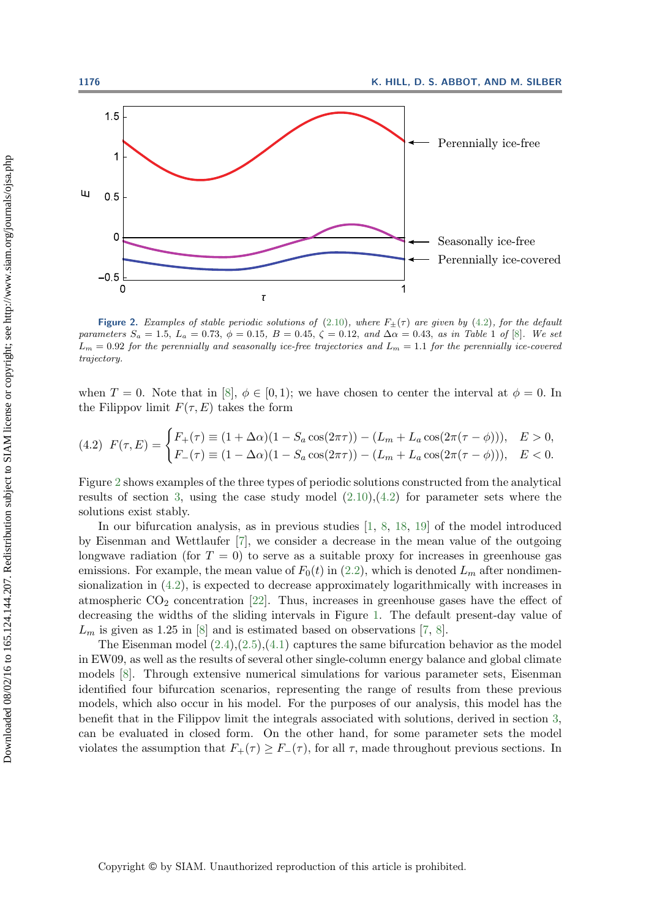<span id="page-13-1"></span>

**Figure 2.** Examples of stable periodic solutions of [\(2.10\)](#page-5-1), where  $F_{\pm}(\tau)$  are given by [\(4.2\)](#page-13-0), for the default parameters  $S_a = 1.5$ ,  $L_a = 0.73$ ,  $\phi = 0.15$ ,  $B = 0.45$ ,  $\zeta = 0.12$ , and  $\Delta \alpha = 0.43$ , as in Table 1 of [\[8\]](#page-29-2). We set  $L_m = 0.92$  for the perennially and seasonally ice-free trajectories and  $L_m = 1.1$  for the perennially ice-covered trajectory.

when  $T = 0$ . Note that in [\[8\]](#page-29-2),  $\phi \in [0, 1)$ ; we have chosen to center the interval at  $\phi = 0$ . In the Filippov limit  $F(\tau, E)$  takes the form

<span id="page-13-0"></span>
$$
(4.2) \ \ F(\tau, E) = \begin{cases} F_{+}(\tau) \equiv (1 + \Delta \alpha)(1 - S_a \cos(2\pi \tau)) - (L_m + L_a \cos(2\pi (\tau - \phi))), & E > 0, \\ F_{-}(\tau) \equiv (1 - \Delta \alpha)(1 - S_a \cos(2\pi \tau)) - (L_m + L_a \cos(2\pi (\tau - \phi))), & E < 0. \end{cases}
$$

Figure [2](#page-13-1) shows examples of the three types of periodic solutions constructed from the analytical results of section [3,](#page-7-0) using the case study model  $(2.10),(4.2)$  $(2.10),(4.2)$  $(2.10),(4.2)$  for parameter sets where the solutions exist stably.

In our bifurcation analysis, as in previous studies [\[1,](#page-28-0) [8,](#page-29-2) [18,](#page-29-19) [19\]](#page-29-20) of the model introduced by Eisenman and Wettlaufer [\[7\]](#page-29-1), we consider a decrease in the mean value of the outgoing longwave radiation (for  $T = 0$ ) to serve as a suitable proxy for increases in greenhouse gas emissions. For example, the mean value of  $F_0(t)$  in [\(2.2\)](#page-3-2), which is denoted  $L_m$  after nondimensionalization in [\(4.2\)](#page-13-0), is expected to decrease approximately logarithmically with increases in atmospheric  $CO<sub>2</sub>$  concentration [\[22\]](#page-29-21). Thus, increases in greenhouse gases have the effect of decreasing the widths of the sliding intervals in Figure [1.](#page-6-0) The default present-day value of  $L_m$  is given as 1.25 in [\[8\]](#page-29-2) and is estimated based on observations [\[7,](#page-29-1) [8\]](#page-29-2).

The Eisenman model  $(2.4),(2.5),(4.1)$  $(2.4),(2.5),(4.1)$  $(2.4),(2.5),(4.1)$  $(2.4),(2.5),(4.1)$  $(2.4),(2.5),(4.1)$  captures the same bifurcation behavior as the model in EW09, as well as the results of several other single-column energy balance and global climate models [\[8\]](#page-29-2). Through extensive numerical simulations for various parameter sets, Eisenman identified four bifurcation scenarios, representing the range of results from these previous models, which also occur in his model. For the purposes of our analysis, this model has the benefit that in the Filippov limit the integrals associated with solutions, derived in section [3,](#page-7-0) can be evaluated in closed form. On the other hand, for some parameter sets the model violates the assumption that  $F_+(\tau) \geq F_-(\tau)$ , for all  $\tau$ , made throughout previous sections. In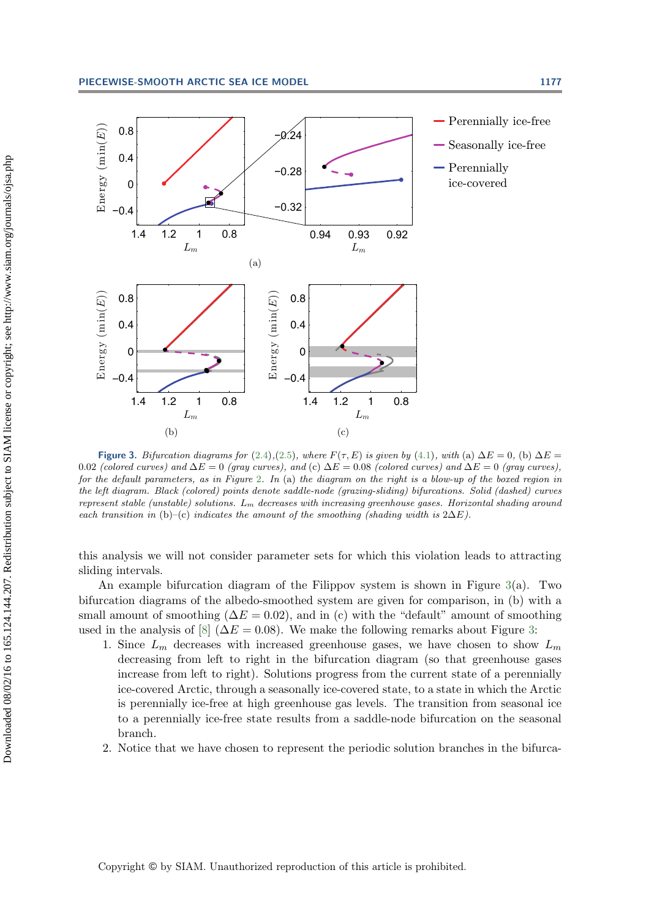<span id="page-14-0"></span>

**Figure 3.** Bifurcation diagrams for [\(2.4\)](#page-4-0),[\(2.5\)](#page-4-2), where  $F(\tau, E)$  is given by [\(4.1\)](#page-12-1), with (a)  $\Delta E = 0$ , (b)  $\Delta E =$ 0.02 (colored curves) and  $\Delta E = 0$  (gray curves), and (c)  $\Delta E = 0.08$  (colored curves) and  $\Delta E = 0$  (gray curves), for the default parameters, as in Figure [2](#page-13-1). In (a) the diagram on the right is a blow-up of the boxed region in the left diagram. Black (colored) points denote saddle-node (grazing-sliding) bifurcations. Solid (dashed) curves represent stable (unstable) solutions.  $L_m$  decreases with increasing greenhouse gases. Horizontal shading around each transition in (b)–(c) indicates the amount of the smoothing (shading width is  $2\Delta E$ ).

this analysis we will not consider parameter sets for which this violation leads to attracting sliding intervals.

An example bifurcation diagram of the Filippov system is shown in Figure [3\(](#page-14-0)a). Two bifurcation diagrams of the albedo-smoothed system are given for comparison, in (b) with a small amount of smoothing  $(\Delta E = 0.02)$ , and in (c) with the "default" amount of smoothing used in the analysis of [\[8\]](#page-29-2) ( $\Delta E = 0.08$ ). We make the following remarks about Figure [3:](#page-14-0)

- 1. Since  $L_m$  decreases with increased greenhouse gases, we have chosen to show  $L_m$ decreasing from left to right in the bifurcation diagram (so that greenhouse gases increase from left to right). Solutions progress from the current state of a perennially ice-covered Arctic, through a seasonally ice-covered state, to a state in which the Arctic is perennially ice-free at high greenhouse gas levels. The transition from seasonal ice to a perennially ice-free state results from a saddle-node bifurcation on the seasonal branch.
- 2. Notice that we have chosen to represent the periodic solution branches in the bifurca-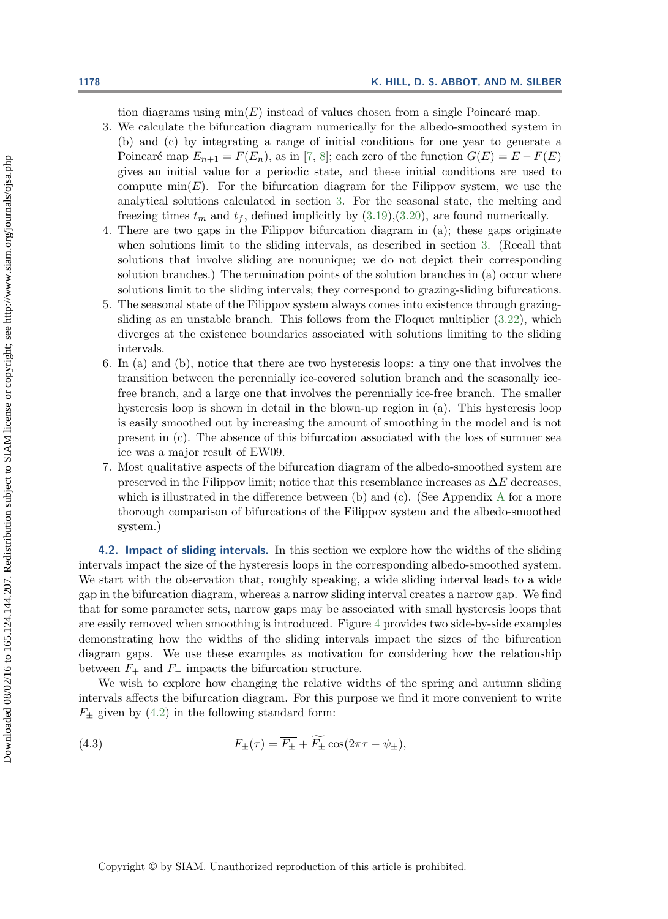tion diagrams using  $min(E)$  instead of values chosen from a single Poincaré map.

3. We calculate the bifurcation diagram numerically for the albedo-smoothed system in (b) and (c) by integrating a range of initial conditions for one year to generate a Poincaré map  $E_{n+1} = F(E_n)$ , as in [\[7,](#page-29-1) [8\]](#page-29-2); each zero of the function  $G(E) = E - F(E)$ gives an initial value for a periodic state, and these initial conditions are used to compute min $(E)$ . For the bifurcation diagram for the Filippov system, we use the analytical solutions calculated in section [3.](#page-7-0) For the seasonal state, the melting and freezing times  $t_m$  and  $t_f$ , defined implicitly by [\(3.19\)](#page-10-2),[\(3.20\)](#page-10-2), are found numerically.

- 4. There are two gaps in the Filippov bifurcation diagram in (a); these gaps originate when solutions limit to the sliding intervals, as described in section [3.](#page-7-0) (Recall that solutions that involve sliding are nonunique; we do not depict their corresponding solution branches.) The termination points of the solution branches in (a) occur where solutions limit to the sliding intervals; they correspond to grazing-sliding bifurcations.
- 5. The seasonal state of the Filippov system always comes into existence through grazingsliding as an unstable branch. This follows from the Floquet multiplier [\(3.22\)](#page-11-2), which diverges at the existence boundaries associated with solutions limiting to the sliding intervals.
- 6. In (a) and (b), notice that there are two hysteresis loops: a tiny one that involves the transition between the perennially ice-covered solution branch and the seasonally icefree branch, and a large one that involves the perennially ice-free branch. The smaller hysteresis loop is shown in detail in the blown-up region in (a). This hysteresis loop is easily smoothed out by increasing the amount of smoothing in the model and is not present in (c). The absence of this bifurcation associated with the loss of summer sea ice was a major result of EW09.
- 7. Most qualitative aspects of the bifurcation diagram of the albedo-smoothed system are preserved in the Filippov limit; notice that this resemblance increases as  $\Delta E$  decreases, which is illustrated in the difference between (b) and (c). (See [A](#page-22-0)ppendix A for a more thorough comparison of bifurcations of the Filippov system and the albedo-smoothed system.)

<span id="page-15-1"></span>**4.2. Impact of sliding intervals.** In this section we explore how the widths of the sliding intervals impact the size of the hysteresis loops in the corresponding albedo-smoothed system. We start with the observation that, roughly speaking, a wide sliding interval leads to a wide gap in the bifurcation diagram, whereas a narrow sliding interval creates a narrow gap. We find that for some parameter sets, narrow gaps may be associated with small hysteresis loops that are easily removed when smoothing is introduced. Figure [4](#page-16-0) provides two side-by-side examples demonstrating how the widths of the sliding intervals impact the sizes of the bifurcation diagram gaps. We use these examples as motivation for considering how the relationship between  $F_+$  and  $F_-\$  impacts the bifurcation structure.

We wish to explore how changing the relative widths of the spring and autumn sliding intervals affects the bifurcation diagram. For this purpose we find it more convenient to write  $F_{+}$  given by [\(4.2\)](#page-13-0) in the following standard form:

<span id="page-15-0"></span>(4.3) 
$$
F_{\pm}(\tau) = \overline{F_{\pm}} + \widetilde{F_{\pm}} \cos(2\pi\tau - \psi_{\pm}),
$$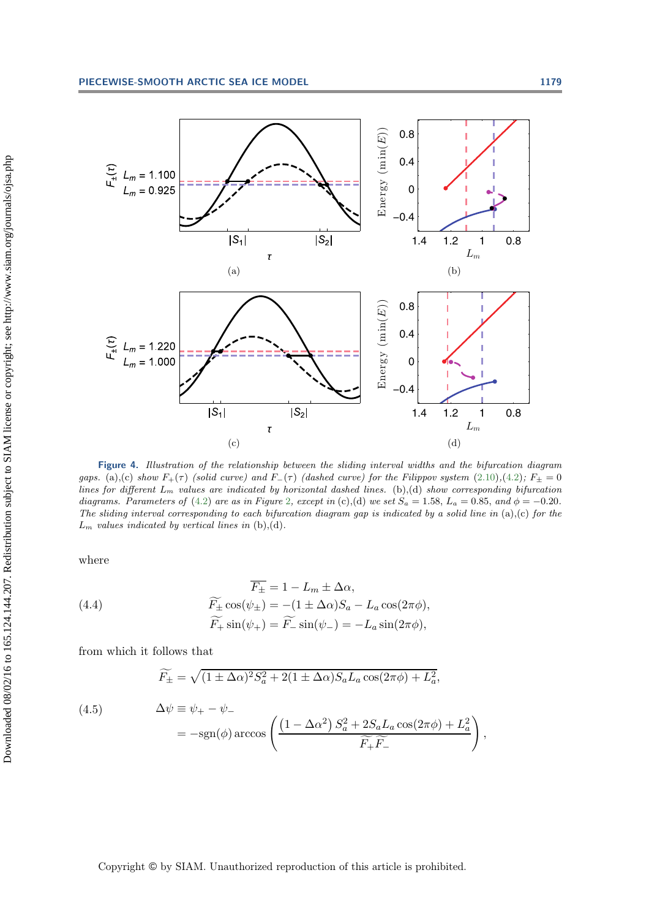<span id="page-16-0"></span>

**Figure 4.** Illustration of the relationship between the sliding interval widths and the bifurcation diagram gaps. (a),(c) show  $F_+(\tau)$  (solid curve) and  $F_-(\tau)$  (dashed curve) for the Filippov system [\(2.10\)](#page-5-1),[\(4.2\)](#page-13-0);  $F_{\pm} = 0$ lines for different  $L_m$  values are indicated by horizontal dashed lines. (b),(d) show corresponding bifurcation diagrams. Parameters of [\(4.2\)](#page-13-0) are as in Figure [2](#page-13-1), except in (c),(d) we set  $S_a = 1.58$ ,  $L_a = 0.85$ , and  $\phi = -0.20$ . The sliding interval corresponding to each bifurcation diagram gap is indicated by a solid line in  $(a),(c)$  for the  $L_m$  values indicated by vertical lines in (b),(d).

where

(4.4)  
\n
$$
\overline{F_{\pm}} = 1 - L_m \pm \Delta \alpha,
$$
\n
$$
\widetilde{F_{\pm}} \cos(\psi_{\pm}) = -(1 \pm \Delta \alpha) S_a - L_a \cos(2\pi \phi),
$$
\n
$$
\widetilde{F_{+}} \sin(\psi_{+}) = \widetilde{F_{-}} \sin(\psi_{-}) = -L_a \sin(2\pi \phi),
$$

from which it follows that

$$
\widetilde{F_{\pm}} = \sqrt{(1 \pm \Delta \alpha)^2 S_a^2 + 2(1 \pm \Delta \alpha) S_a L_a \cos(2\pi \phi) + L_a^2},
$$

$$
(4.5)
$$

$$
\Delta \psi \equiv \psi_+ - \psi_-
$$
  
=  $-\text{sgn}(\phi) \arccos \left( \frac{\left(1 - \Delta \alpha^2\right) S_a^2 + 2S_a L_a \cos(2\pi \phi) + L_a^2}{\widetilde{F}_+ \widetilde{F}_-} \right),$ 

# Copyright © by SIAM. Unauthorized reproduction of this article is prohibited.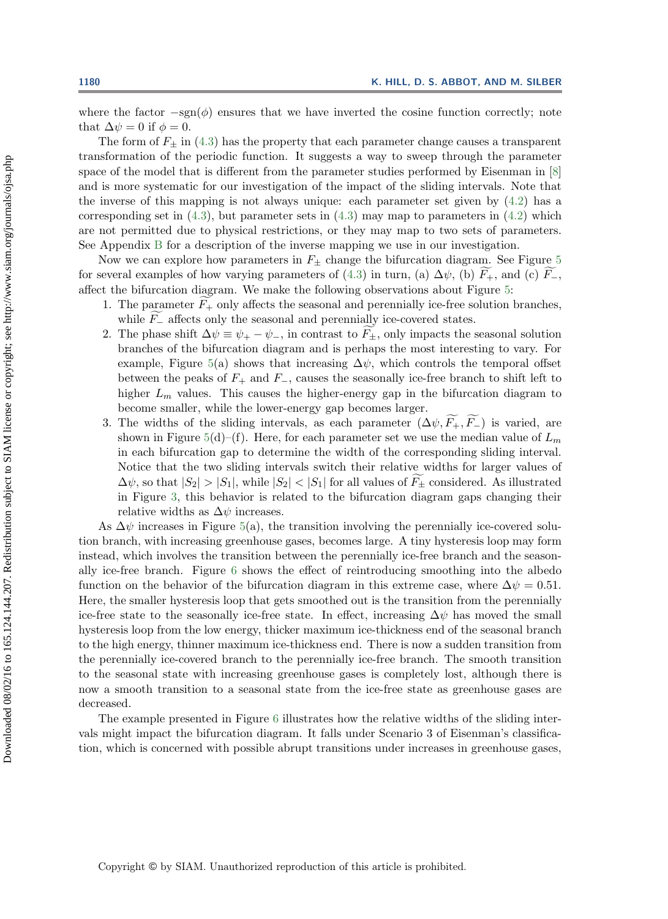where the factor  $-\text{sgn}(\phi)$  ensures that we have inverted the cosine function correctly; note that  $\Delta \psi = 0$  if  $\phi = 0$ .

The form of  $F_{\pm}$  in [\(4.3\)](#page-15-0) has the property that each parameter change causes a transparent transformation of the periodic function. It suggests a way to sweep through the parameter space of the model that is different from the parameter studies performed by Eisenman in [\[8\]](#page-29-2) and is more systematic for our investigation of the impact of the sliding intervals. Note that the inverse of this mapping is not always unique: each parameter set given by [\(4.2\)](#page-13-0) has a corresponding set in  $(4.3)$ , but parameter sets in  $(4.3)$  may map to parameters in  $(4.2)$  which are not permitted due to physical restrictions, or they may map to two sets of parameters. See Appendix [B](#page-25-0) for a description of the inverse mapping we use in our investigation.

Now we can explore how parameters in  $F_{\pm}$  change the bifurcation diagram. See Figure [5](#page-18-0) for several examples of how varying parameters of [\(4.3\)](#page-15-0) in turn, (a)  $\Delta \psi$ , (b)  $\widetilde{F_+}$ , and (c)  $\widetilde{F_-}$ , affect the bifurcation diagram. We make the following observations about Figure [5:](#page-18-0)

- 1. The parameter  $\widetilde{F_+}$  only affects the seasonal and perennially ice-free solution branches, while  $\widetilde{F}_-$  affects only the seasonal and perennially ice-covered states.
- 2. The phase shift  $\Delta \psi \equiv \psi_+ \psi_-,$  in contrast to  $\widetilde{F_\pm}$ , only impacts the seasonal solution branches of the bifurcation diagram and is perhaps the most interesting to vary. For example, Figure [5\(](#page-18-0)a) shows that increasing  $\Delta \psi$ , which controls the temporal offset between the peaks of  $F_+$  and  $F_-$ , causes the seasonally ice-free branch to shift left to higher  $L_m$  values. This causes the higher-energy gap in the bifurcation diagram to become smaller, while the lower-energy gap becomes larger.
- 3. The widths of the sliding intervals, as each parameter  $(\Delta \psi, \widetilde{F_+}, \widetilde{F_-})$  is varied, are shown in Figure [5\(](#page-18-0)d)–(f). Here, for each parameter set we use the median value of  $L_m$ in each bifurcation gap to determine the width of the corresponding sliding interval. Notice that the two sliding intervals switch their relative widths for larger values of  $\Delta\psi$ , so that  $|S_2| > |S_1|$ , while  $|S_2| < |S_1|$  for all values of  $\widetilde{F}_{\pm}$  considered. As illustrated in Figure [3,](#page-14-0) this behavior is related to the bifurcation diagram gaps changing their relative widths as  $\Delta\psi$  increases.

As  $\Delta\psi$  increases in Figure [5\(](#page-18-0)a), the transition involving the perennially ice-covered solution branch, with increasing greenhouse gases, becomes large. A tiny hysteresis loop may form instead, which involves the transition between the perennially ice-free branch and the seasonally ice-free branch. Figure [6](#page-19-0) shows the effect of reintroducing smoothing into the albedo function on the behavior of the bifurcation diagram in this extreme case, where  $\Delta \psi = 0.51$ . Here, the smaller hysteresis loop that gets smoothed out is the transition from the perennially ice-free state to the seasonally ice-free state. In effect, increasing  $\Delta\psi$  has moved the small hysteresis loop from the low energy, thicker maximum ice-thickness end of the seasonal branch to the high energy, thinner maximum ice-thickness end. There is now a sudden transition from the perennially ice-covered branch to the perennially ice-free branch. The smooth transition to the seasonal state with increasing greenhouse gases is completely lost, although there is now a smooth transition to a seasonal state from the ice-free state as greenhouse gases are decreased.

The example presented in Figure [6](#page-19-0) illustrates how the relative widths of the sliding intervals might impact the bifurcation diagram. It falls under Scenario 3 of Eisenman's classification, which is concerned with possible abrupt transitions under increases in greenhouse gases,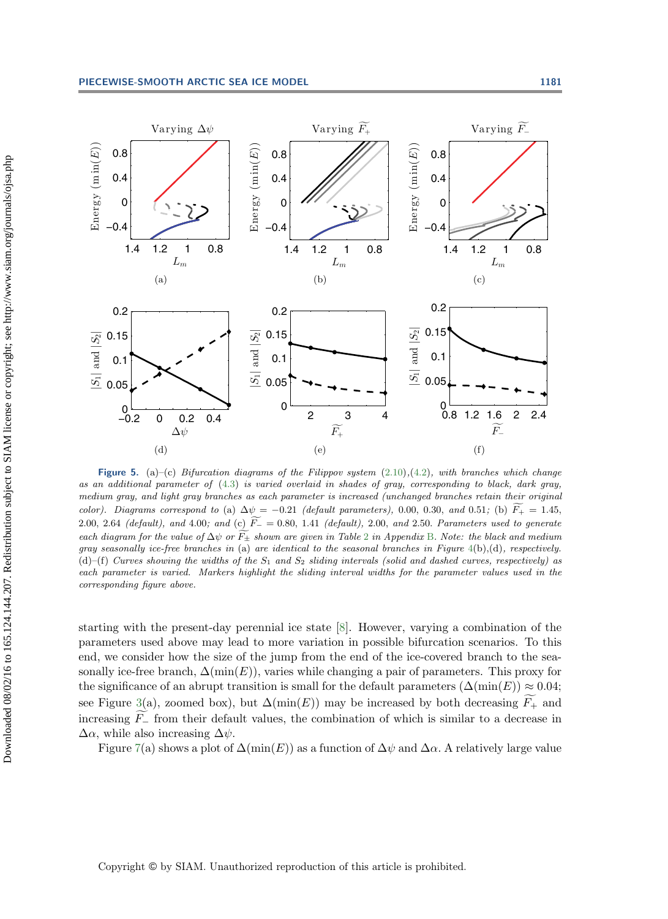<span id="page-18-0"></span>

**Figure 5.** (a)–(c) Bifurcation diagrams of the Filippov system  $(2.10),(4.2)$  $(2.10),(4.2)$  $(2.10),(4.2)$ , with branches which change as an additional parameter of  $(4.3)$  is varied overlaid in shades of gray, corresponding to black, dark gray, medium gray, and light gray branches as each parameter is increased (unchanged branches retain their original color). Diagrams correspond to (a)  $\Delta \psi = -0.21$  (default parameters), 0.00, 0.30, and 0.51; (b)  $F_+ = 1.45$ , 2.00, 2.64 (default), and 4.00; and  $(c)$   $F_{-} = 0.80$ , 1.41 (default), 2.00, and 2.50. Parameters used to generate each diagram for the value of  $\Delta \psi$  or  $F_{\pm}$  shown are given in Table [2](#page-28-4) in Appendix [B](#page-25-0). Note: the black and medium gray seasonally ice-free branches in (a) are identical to the seasonal branches in Figure [4\(](#page-16-0)b),(d), respectively. (d)–(f) Curves showing the widths of the  $S_1$  and  $S_2$  sliding intervals (solid and dashed curves, respectively) as each parameter is varied. Markers highlight the sliding interval widths for the parameter values used in the corresponding figure above.

starting with the present-day perennial ice state [\[8\]](#page-29-2). However, varying a combination of the parameters used above may lead to more variation in possible bifurcation scenarios. To this end, we consider how the size of the jump from the end of the ice-covered branch to the seasonally ice-free branch,  $\Delta(\min(E))$ , varies while changing a pair of parameters. This proxy for the significance of an abrupt transition is small for the default parameters  $(\Delta(\min(E)) \approx 0.04;$ see Figure [3\(](#page-14-0)a), zoomed box), but  $\Delta(\min(E))$  may be increased by both decreasing  $\widetilde{F_+}$  and increasing  $\widetilde{F}$  from their default values, the combination of which is similar to a decrease in  $\Delta \alpha$ , while also increasing  $\Delta \psi$ .

Figure [7\(](#page-19-1)a) shows a plot of  $\Delta(\min(E))$  as a function of  $\Delta\psi$  and  $\Delta\alpha$ . A relatively large value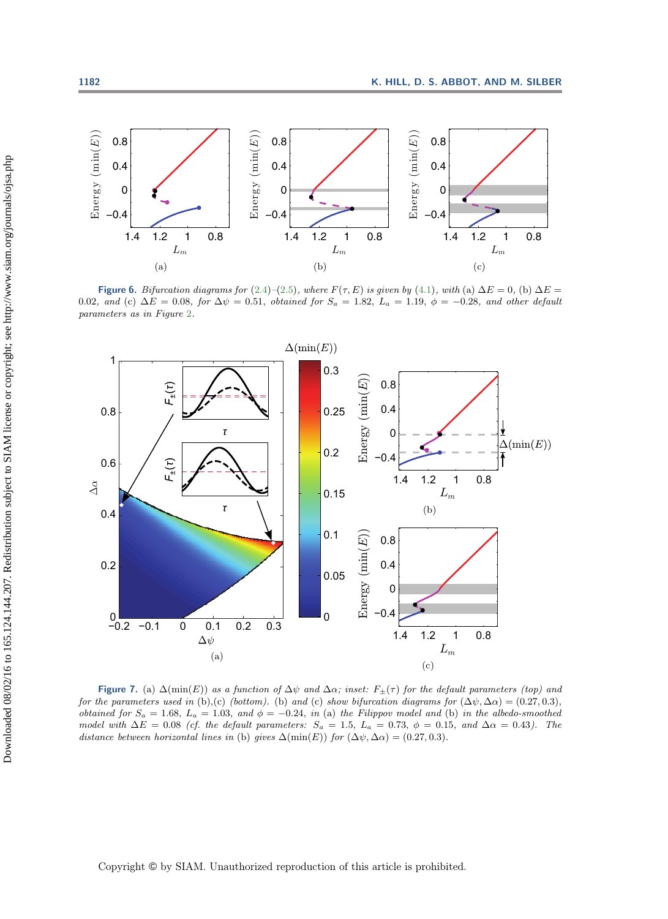<span id="page-19-0"></span>

**Figure 6.** Bifurcation diagrams for [\(2.4\)](#page-4-0)–[\(2.5\)](#page-4-2), where  $F(\tau, E)$  is given by [\(4.1\)](#page-12-1), with (a)  $\Delta E = 0$ , (b)  $\Delta E =$ 0.02, and (c)  $\Delta E = 0.08$ , for  $\Delta \psi = 0.51$ , obtained for  $S_a = 1.82$ ,  $L_a = 1.19$ ,  $\phi = -0.28$ , and other default parameters as in Figure [2](#page-13-1).

<span id="page-19-1"></span>

**Figure 7.** (a)  $\Delta(\min(E))$  as a function of  $\Delta \psi$  and  $\Delta \alpha$ ; inset:  $F_{\pm}(\tau)$  for the default parameters (top) and for the parameters used in (b),(c) (bottom). (b) and (c) show bifurcation diagrams for  $(\Delta \psi, \Delta \alpha) = (0.27, 0.3)$ , obtained for  $S_a = 1.68$ ,  $L_a = 1.03$ , and  $\phi = -0.24$ , in (a) the Filippov model and (b) in the albedo-smoothed model with  $\Delta E = 0.08$  (cf. the default parameters:  $S_a = 1.5$ ,  $L_a = 0.73$ ,  $\phi = 0.15$ , and  $\Delta \alpha = 0.43$ ). The distance between horizontal lines in (b) gives  $\Delta(\min(E))$  for  $(\Delta \psi, \Delta \alpha) = (0.27, 0.3)$ .

Copyright © by SIAM. Unauthorized reproduction of this article is prohibited.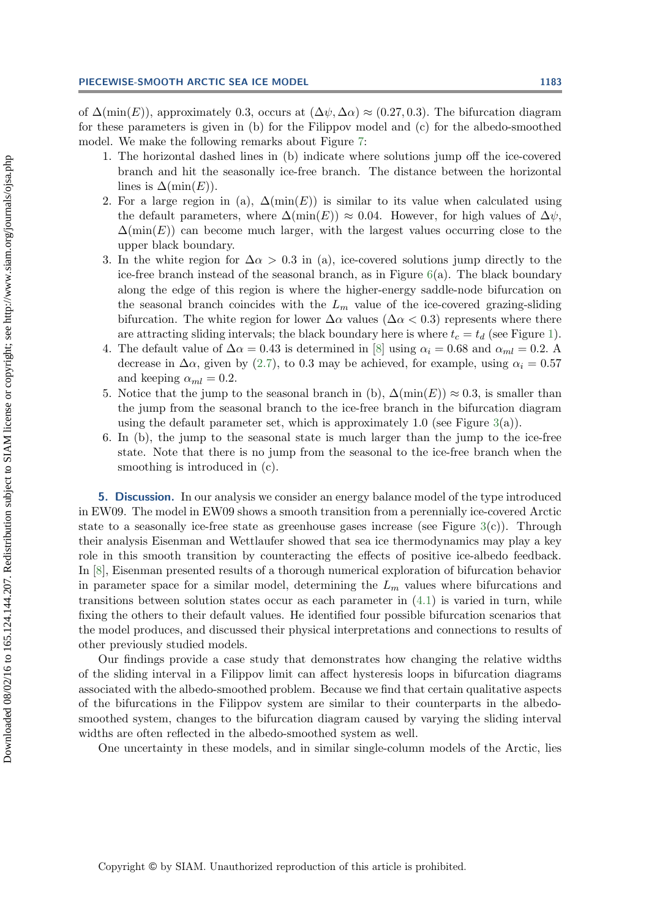of  $\Delta(\min(E))$ , approximately 0.3, occurs at  $(\Delta\psi, \Delta\alpha) \approx (0.27, 0.3)$ . The bifurcation diagram for these parameters is given in (b) for the Filippov model and (c) for the albedo-smoothed model. We make the following remarks about Figure [7:](#page-19-1)

- 1. The horizontal dashed lines in (b) indicate where solutions jump off the ice-covered branch and hit the seasonally ice-free branch. The distance between the horizontal lines is  $\Delta(\min(E)).$
- 2. For a large region in (a),  $\Delta(\min(E))$  is similar to its value when calculated using the default parameters, where  $\Delta(\min(E)) \approx 0.04$ . However, for high values of  $\Delta\psi$ ,  $\Delta(\min(E))$  can become much larger, with the largest values occurring close to the upper black boundary.
- 3. In the white region for  $\Delta \alpha > 0.3$  in (a), ice-covered solutions jump directly to the ice-free branch instead of the seasonal branch, as in Figure [6\(](#page-19-0)a). The black boundary along the edge of this region is where the higher-energy saddle-node bifurcation on the seasonal branch coincides with the  $L_m$  value of the ice-covered grazing-sliding bifurcation. The white region for lower  $\Delta \alpha$  values  $(\Delta \alpha < 0.3)$  represents where there are attracting sliding intervals; the black boundary here is where  $t_c = t_d$  (see Figure [1\)](#page-6-0).
- 4. The default value of  $\Delta \alpha = 0.43$  is determined in [\[8\]](#page-29-2) using  $\alpha_i = 0.68$  and  $\alpha_{ml} = 0.2$ . A decrease in  $\Delta \alpha$ , given by [\(2.7\)](#page-4-3), to 0.3 may be achieved, for example, using  $\alpha_i = 0.57$ and keeping  $\alpha_{ml} = 0.2$ .
- 5. Notice that the jump to the seasonal branch in (b),  $\Delta(\min(E)) \approx 0.3$ , is smaller than the jump from the seasonal branch to the ice-free branch in the bifurcation diagram using the default parameter set, which is approximately 1.0 (see Figure  $3(a)$  $3(a)$ ).
- 6. In (b), the jump to the seasonal state is much larger than the jump to the ice-free state. Note that there is no jump from the seasonal to the ice-free branch when the smoothing is introduced in (c).

<span id="page-20-0"></span>**5. Discussion.** In our analysis we consider an energy balance model of the type introduced in EW09. The model in EW09 shows a smooth transition from a perennially ice-covered Arctic state to a seasonally ice-free state as greenhouse gases increase (see Figure  $3(c)$  $3(c)$ ). Through their analysis Eisenman and Wettlaufer showed that sea ice thermodynamics may play a key role in this smooth transition by counteracting the effects of positive ice-albedo feedback. In [\[8\]](#page-29-2), Eisenman presented results of a thorough numerical exploration of bifurcation behavior in parameter space for a similar model, determining the  $L_m$  values where bifurcations and transitions between solution states occur as each parameter in [\(4.1\)](#page-12-1) is varied in turn, while fixing the others to their default values. He identified four possible bifurcation scenarios that the model produces, and discussed their physical interpretations and connections to results of other previously studied models.

Our findings provide a case study that demonstrates how changing the relative widths of the sliding interval in a Filippov limit can affect hysteresis loops in bifurcation diagrams associated with the albedo-smoothed problem. Because we find that certain qualitative aspects of the bifurcations in the Filippov system are similar to their counterparts in the albedosmoothed system, changes to the bifurcation diagram caused by varying the sliding interval widths are often reflected in the albedo-smoothed system as well.

One uncertainty in these models, and in similar single-column models of the Arctic, lies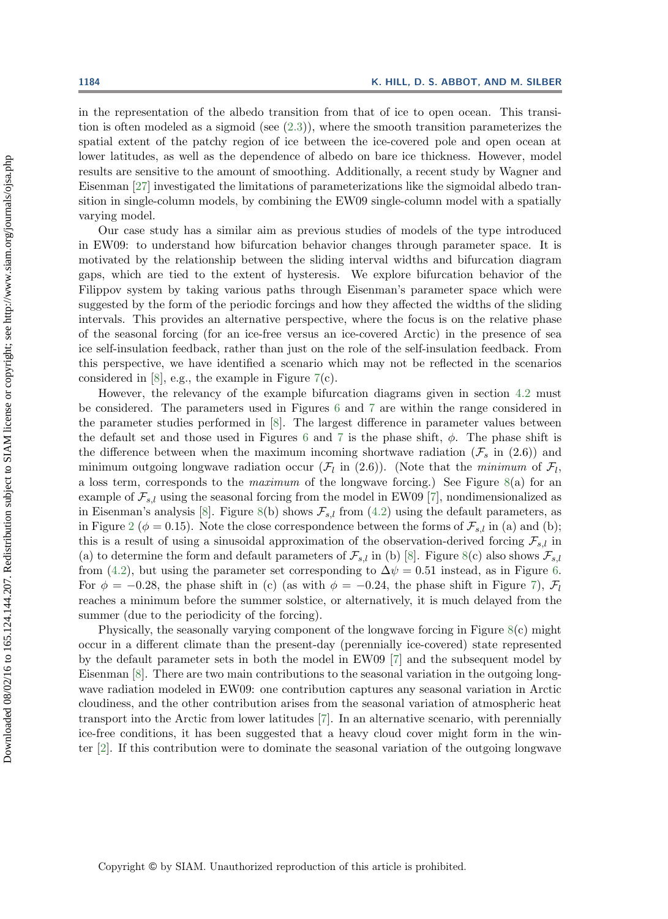in the representation of the albedo transition from that of ice to open ocean. This transition is often modeled as a sigmoid (see  $(2.3)$ ), where the smooth transition parameterizes the spatial extent of the patchy region of ice between the ice-covered pole and open ocean at lower latitudes, as well as the dependence of albedo on bare ice thickness. However, model results are sensitive to the amount of smoothing. Additionally, a recent study by Wagner and Eisenman [\[27\]](#page-29-3) investigated the limitations of parameterizations like the sigmoidal albedo transition in single-column models, by combining the EW09 single-column model with a spatially varying model.

Our case study has a similar aim as previous studies of models of the type introduced in EW09: to understand how bifurcation behavior changes through parameter space. It is motivated by the relationship between the sliding interval widths and bifurcation diagram gaps, which are tied to the extent of hysteresis. We explore bifurcation behavior of the Filippov system by taking various paths through Eisenman's parameter space which were suggested by the form of the periodic forcings and how they affected the widths of the sliding intervals. This provides an alternative perspective, where the focus is on the relative phase of the seasonal forcing (for an ice-free versus an ice-covered Arctic) in the presence of sea ice self-insulation feedback, rather than just on the role of the self-insulation feedback. From this perspective, we have identified a scenario which may not be reflected in the scenarios considered in  $[8]$ , e.g., the example in Figure [7\(](#page-19-1)c).

However, the relevancy of the example bifurcation diagrams given in section [4.2](#page-15-1) must be considered. The parameters used in Figures [6](#page-19-0) and [7](#page-19-1) are within the range considered in the parameter studies performed in [\[8\]](#page-29-2). The largest difference in parameter values between the default set and those used in Figures [6](#page-19-0) and [7](#page-19-1) is the phase shift,  $\phi$ . The phase shift is the difference between when the maximum incoming shortwave radiation  $(\mathcal{F}_s$  in (2.6)) and minimum outgoing longwave radiation occur  $(\mathcal{F}_l$  in (2.6)). (Note that the *minimum* of  $\mathcal{F}_l$ , a loss term, corresponds to the *maximum* of the longwave forcing.) See Figure [8\(](#page-22-1)a) for an example of  $\mathcal{F}_{s,l}$  using the seasonal forcing from the model in EW09 [\[7\]](#page-29-1), nondimensionalized as in Eisenman's analysis [\[8\]](#page-29-2). Figure [8\(](#page-22-1)b) shows  $\mathcal{F}_{s,l}$  from [\(4.2\)](#page-13-0) using the default parameters, as in Figure [2](#page-13-1) ( $\phi = 0.15$ ). Note the close correspondence between the forms of  $\mathcal{F}_{s,l}$  in (a) and (b); this is a result of using a sinusoidal approximation of the observation-derived forcing  $\mathcal{F}_{s,l}$  in (a) to determine the form and default parameters of  $\mathcal{F}_{s,l}$  in (b) [\[8\]](#page-29-2). Figure [8\(](#page-22-1)c) also shows  $\mathcal{F}_{s,l}$ from [\(4.2\)](#page-13-0), but using the parameter set corresponding to  $\Delta \psi = 0.51$  instead, as in Figure [6.](#page-19-0) For  $\phi = -0.28$ , the phase shift in (c) (as with  $\phi = -0.24$ , the phase shift in Figure [7\)](#page-19-1),  $\mathcal{F}_l$ reaches a minimum before the summer solstice, or alternatively, it is much delayed from the summer (due to the periodicity of the forcing).

Physically, the seasonally varying component of the longwave forcing in Figure [8\(](#page-22-1)c) might occur in a different climate than the present-day (perennially ice-covered) state represented by the default parameter sets in both the model in EW09 [\[7\]](#page-29-1) and the subsequent model by Eisenman [\[8\]](#page-29-2). There are two main contributions to the seasonal variation in the outgoing longwave radiation modeled in EW09: one contribution captures any seasonal variation in Arctic cloudiness, and the other contribution arises from the seasonal variation of atmospheric heat transport into the Arctic from lower latitudes [\[7\]](#page-29-1). In an alternative scenario, with perennially ice-free conditions, it has been suggested that a heavy cloud cover might form in the winter [\[2\]](#page-28-5). If this contribution were to dominate the seasonal variation of the outgoing longwave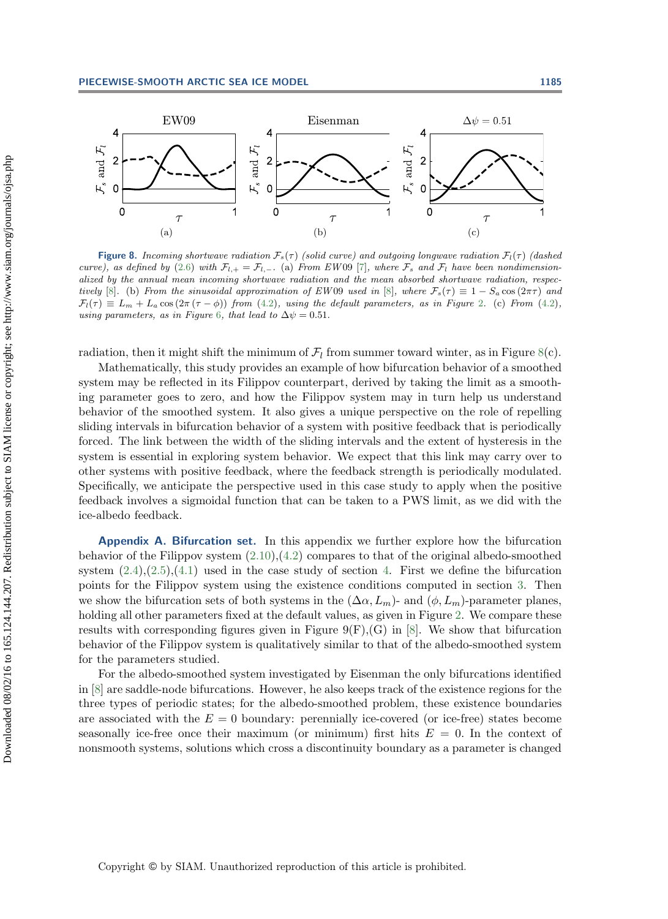<span id="page-22-1"></span>

**Figure 8.** Incoming shortwave radiation  $\mathcal{F}_s(\tau)$  (solid curve) and outgoing longwave radiation  $\mathcal{F}_l(\tau)$  (dashed curve), as defined by [\(2.6\)](#page-4-1) with  $\mathcal{F}_{l,+} = \mathcal{F}_{l,-}$ . (a) From EW09 [\[7\]](#page-29-1), where  $\mathcal{F}_s$  and  $\mathcal{F}_l$  have been nondimensionalized by the annual mean incoming shortwave radiation and the mean absorbed shortwave radiation, respec-tively [\[8\]](#page-29-2). (b) From the sinusoidal approximation of EW09 used in [8], where  $\mathcal{F}_s(\tau) \equiv 1 - S_a \cos(2\pi\tau)$  and  $\mathcal{F}_l(\tau) \equiv L_m + L_a \cos(2\pi (\tau - \phi))$  $\mathcal{F}_l(\tau) \equiv L_m + L_a \cos(2\pi (\tau - \phi))$  $\mathcal{F}_l(\tau) \equiv L_m + L_a \cos(2\pi (\tau - \phi))$  from [\(4.2\)](#page-13-0), using the default parameters, as in Figure 2. (c) From (4.2), using parameters, as in Figure [6](#page-19-0), that lead to  $\Delta \psi = 0.51$ .

radiation, then it might shift the minimum of  $\mathcal{F}_l$  from summer toward winter, as in Figure [8\(](#page-22-1)c).

Mathematically, this study provides an example of how bifurcation behavior of a smoothed system may be reflected in its Filippov counterpart, derived by taking the limit as a smoothing parameter goes to zero, and how the Filippov system may in turn help us understand behavior of the smoothed system. It also gives a unique perspective on the role of repelling sliding intervals in bifurcation behavior of a system with positive feedback that is periodically forced. The link between the width of the sliding intervals and the extent of hysteresis in the system is essential in exploring system behavior. We expect that this link may carry over to other systems with positive feedback, where the feedback strength is periodically modulated. Specifically, we anticipate the perspective used in this case study to apply when the positive feedback involves a sigmoidal function that can be taken to a PWS limit, as we did with the ice-albedo feedback.

<span id="page-22-0"></span>**Appendix A. Bifurcation set.** In this appendix we further explore how the bifurcation behavior of the Filippov system  $(2.10)$ , $(4.2)$  compares to that of the original albedo-smoothed system  $(2.4),(2.5),(4.1)$  $(2.4),(2.5),(4.1)$  $(2.4),(2.5),(4.1)$  $(2.4),(2.5),(4.1)$  $(2.4),(2.5),(4.1)$  used in the case study of section [4.](#page-12-0) First we define the bifurcation points for the Filippov system using the existence conditions computed in section [3.](#page-7-0) Then we show the bifurcation sets of both systems in the  $(\Delta \alpha, L_m)$ - and  $(\phi, L_m)$ -parameter planes, holding all other parameters fixed at the default values, as given in Figure [2.](#page-13-1) We compare these results with corresponding figures given in Figure  $9(F)$ ,  $(G)$  in [\[8\]](#page-29-2). We show that bifurcation behavior of the Filippov system is qualitatively similar to that of the albedo-smoothed system for the parameters studied.

For the albedo-smoothed system investigated by Eisenman the only bifurcations identified in [\[8\]](#page-29-2) are saddle-node bifurcations. However, he also keeps track of the existence regions for the three types of periodic states; for the albedo-smoothed problem, these existence boundaries are associated with the  $E = 0$  boundary: perennially ice-covered (or ice-free) states become seasonally ice-free once their maximum (or minimum) first hits  $E = 0$ . In the context of nonsmooth systems, solutions which cross a discontinuity boundary as a parameter is changed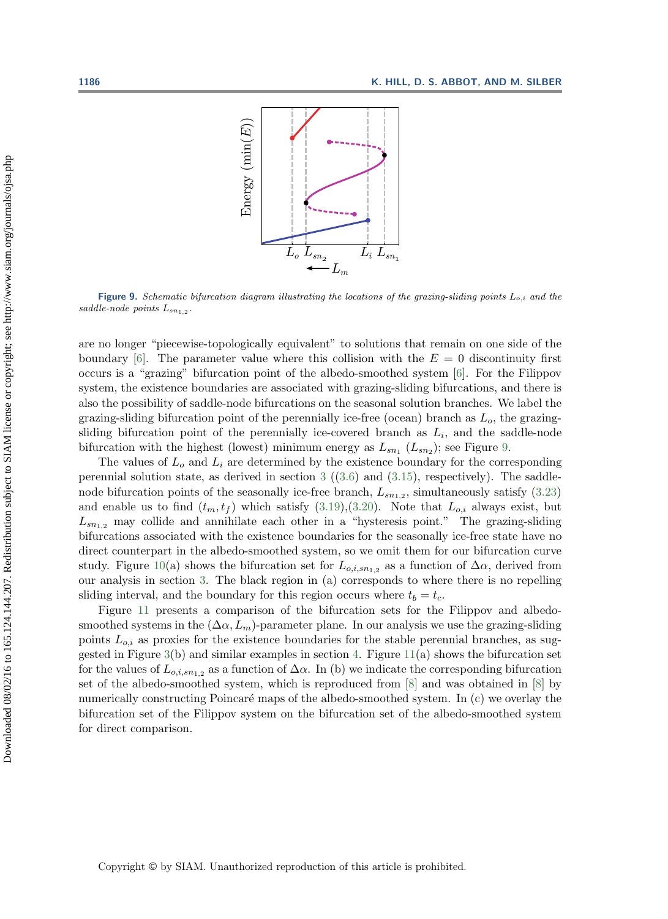<span id="page-23-0"></span>

**Figure 9.** Schematic bifurcation diagram illustrating the locations of the grazing-sliding points  $L_{o,i}$  and the saddle-node points  $L_{sn_1,2}$ .

are no longer "piecewise-topologically equivalent" to solutions that remain on one side of the boundary [\[6\]](#page-29-11). The parameter value where this collision with the  $E = 0$  discontinuity first occurs is a "grazing" bifurcation point of the albedo-smoothed system [\[6\]](#page-29-11). For the Filippov system, the existence boundaries are associated with grazing-sliding bifurcations, and there is also the possibility of saddle-node bifurcations on the seasonal solution branches. We label the grazing-sliding bifurcation point of the perennially ice-free (ocean) branch as  $L_0$ , the grazingsliding bifurcation point of the perennially ice-covered branch as  $L_i$ , and the saddle-node bifurcation with the highest (lowest) minimum energy as  $L_{sn_1}$  ( $L_{sn_2}$ ); see Figure [9.](#page-23-0)

The values of  $L<sub>o</sub>$  and  $L<sub>i</sub>$  are determined by the existence boundary for the corresponding perennial solution state, as derived in section  $3$  ([\(3.6\)](#page-8-2) and [\(3.15\)](#page-9-1), respectively). The saddlenode bifurcation points of the seasonally ice-free branch,  $L_{sn_1,2}$ , simultaneously satisfy [\(3.23\)](#page-11-1) and enable us to find  $(t_m, t_f)$  which satisfy [\(3.19\)](#page-10-2),[\(3.20\)](#page-10-2). Note that  $L_{o,i}$  always exist, but  $L_{sn_{1,2}}$  may collide and annihilate each other in a "hysteresis point." The grazing-sliding bifurcations associated with the existence boundaries for the seasonally ice-free state have no direct counterpart in the albedo-smoothed system, so we omit them for our bifurcation curve study. Figure [10\(](#page-24-0)a) shows the bifurcation set for  $L_{o,i,sn_{1,2}}$  as a function of  $\Delta \alpha$ , derived from our analysis in section [3.](#page-7-0) The black region in (a) corresponds to where there is no repelling sliding interval, and the boundary for this region occurs where  $t_b = t_c$ .

Figure [11](#page-25-1) presents a comparison of the bifurcation sets for the Filippov and albedosmoothed systems in the  $(\Delta \alpha, L_m)$ -parameter plane. In our analysis we use the grazing-sliding points  $L_{o,i}$  as proxies for the existence boundaries for the stable perennial branches, as suggested in Figure  $3(b)$  $3(b)$  and similar examples in section [4.](#page-12-0) Figure  $11(a)$  $11(a)$  shows the bifurcation set for the values of  $L_{o,i,sn_{1,2}}$  as a function of  $\Delta\alpha$ . In (b) we indicate the corresponding bifurcation set of the albedo-smoothed system, which is reproduced from [\[8\]](#page-29-2) and was obtained in [\[8\]](#page-29-2) by numerically constructing Poincaré maps of the albedo-smoothed system. In (c) we overlay the bifurcation set of the Filippov system on the bifurcation set of the albedo-smoothed system for direct comparison.

Copyright © by SIAM. Unauthorized reproduction of this article is prohibited.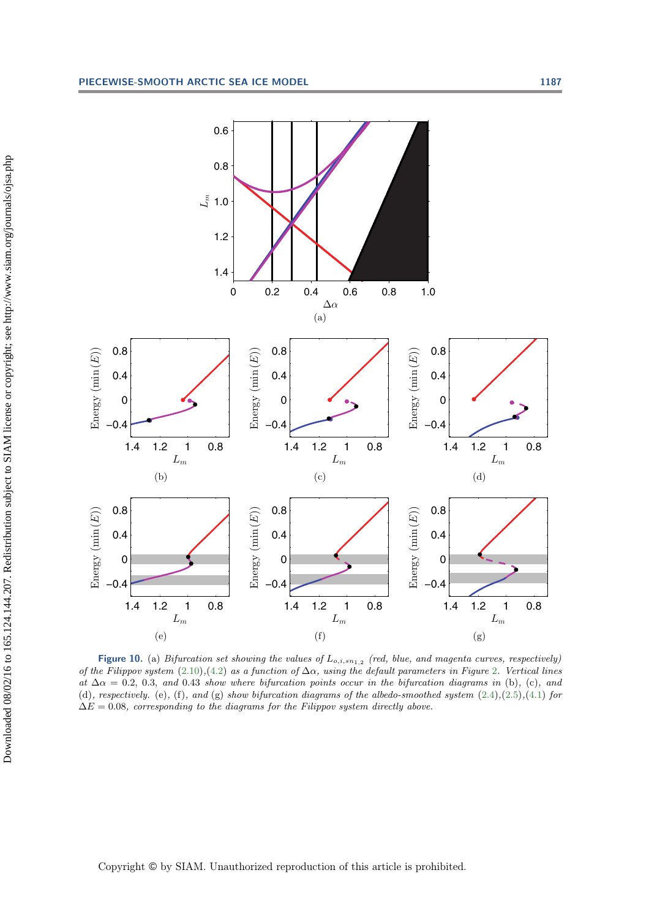<span id="page-24-0"></span>

**Figure 10.** (a) Bifurcation set showing the values of  $L_{o,i,sn_1,2}$  (red, blue, and magenta curves, respectively) of the Filippov system  $(2.10),(4.2)$  $(2.10),(4.2)$  $(2.10),(4.2)$  as a function of  $\Delta \alpha$ , using the default parameters in Figure [2](#page-13-1). Vertical lines at  $\Delta \alpha = 0.2, 0.3,$  and 0.43 show where bifurcation points occur in the bifurcation diagrams in (b), (c), and (d), respectively. (e), (f), and (g) show bifurcation diagrams of the albedo-smoothed system  $(2.4),(2.5),(4.1)$  $(2.4),(2.5),(4.1)$  $(2.4),(2.5),(4.1)$  $(2.4),(2.5),(4.1)$  $(2.4),(2.5),(4.1)$  for  $\Delta E = 0.08$ , corresponding to the diagrams for the Filippov system directly above.

Copyright © by SIAM. Unauthorized reproduction of this article is prohibited.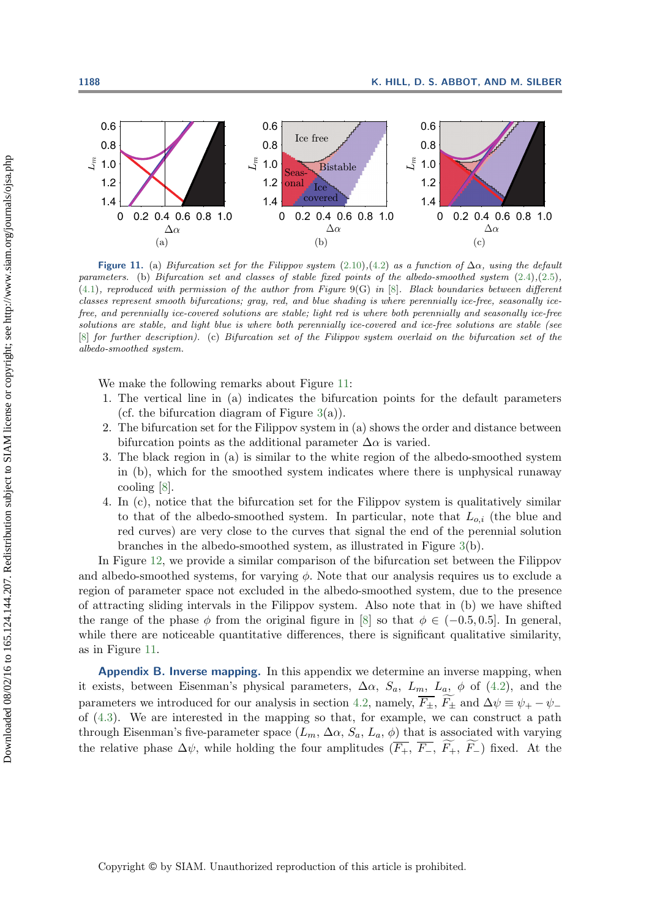<span id="page-25-1"></span>

**Figure 11.** (a) Bifurcation set for the Filippov system  $(2.10),(4.2)$  $(2.10),(4.2)$  $(2.10),(4.2)$  as a function of  $\Delta \alpha$ , using the default parameters. (b) Bifurcation set and classes of stable fixed points of the albedo-smoothed system [\(2.4\)](#page-4-0),[\(2.5\)](#page-4-2),  $(4.1)$ , reproduced with permission of the author from Figure 9(G) in [\[8\]](#page-29-2). Black boundaries between different classes represent smooth bifurcations; gray, red, and blue shading is where perennially ice-free, seasonally icefree, and perennially ice-covered solutions are stable; light red is where both perennially and seasonally ice-free solutions are stable, and light blue is where both perennially ice-covered and ice-free solutions are stable (see [\[8\]](#page-29-2) for further description). (c) Bifurcation set of the Filippov system overlaid on the bifurcation set of the albedo-smoothed system.

We make the following remarks about Figure [11:](#page-25-1)

- 1. The vertical line in (a) indicates the bifurcation points for the default parameters (cf. the bifurcation diagram of Figure  $3(a)$  $3(a)$ ).
- 2. The bifurcation set for the Filippov system in (a) shows the order and distance between bifurcation points as the additional parameter  $\Delta \alpha$  is varied.
- 3. The black region in (a) is similar to the white region of the albedo-smoothed system in (b), which for the smoothed system indicates where there is unphysical runaway cooling [\[8\]](#page-29-2).
- 4. In (c), notice that the bifurcation set for the Filippov system is qualitatively similar to that of the albedo-smoothed system. In particular, note that  $L_{o,i}$  (the blue and red curves) are very close to the curves that signal the end of the perennial solution branches in the albedo-smoothed system, as illustrated in Figure [3\(](#page-14-0)b).

In Figure [12,](#page-26-0) we provide a similar comparison of the bifurcation set between the Filippov and albedo-smoothed systems, for varying  $\phi$ . Note that our analysis requires us to exclude a region of parameter space not excluded in the albedo-smoothed system, due to the presence of attracting sliding intervals in the Filippov system. Also note that in (b) we have shifted the range of the phase  $\phi$  from the original figure in [\[8\]](#page-29-2) so that  $\phi \in (-0.5, 0.5]$ . In general, while there are noticeable quantitative differences, there is significant qualitative similarity, as in Figure [11.](#page-25-1)

<span id="page-25-0"></span>**Appendix B. Inverse mapping.** In this appendix we determine an inverse mapping, when it exists, between Eisenman's physical parameters,  $\Delta \alpha$ ,  $S_a$ ,  $L_m$ ,  $L_a$ ,  $\phi$  of [\(4.2\)](#page-13-0), and the parameters we introduced for our analysis in section [4.2,](#page-15-1) namely,  $\overline{F_{\pm}}$ ,  $\widetilde{F_{\pm}}$  and  $\Delta \psi \equiv \psi_+ - \psi_$ of [\(4.3\)](#page-15-0). We are interested in the mapping so that, for example, we can construct a path through Eisenman's five-parameter space  $(L_m, \Delta \alpha, S_a, L_a, \phi)$  that is associated with varying the relative phase  $\Delta \psi$ , while holding the four amplitudes  $(\overline{F_+}, \overline{F_-}, \widetilde{F_+}, \widetilde{F_-})$  fixed. At the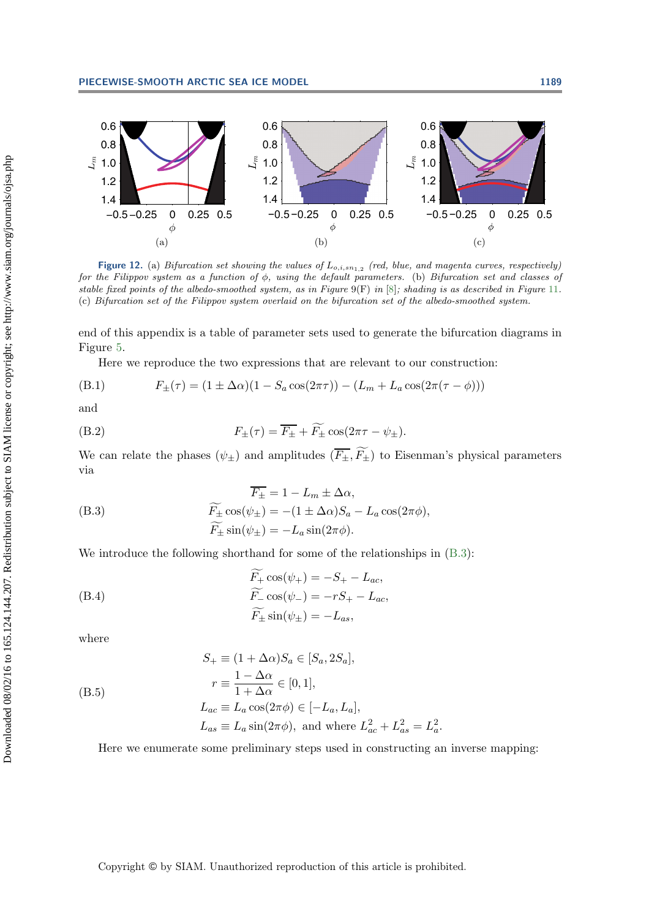<span id="page-26-0"></span>

**Figure 12.** (a) Bifurcation set showing the values of  $L_{o,i,sn_{1,2}}$  (red, blue, and magenta curves, respectively) for the Filippov system as a function of  $\phi$ , using the default parameters. (b) Bifurcation set and classes of stable fixed points of the albedo-smoothed system, as in Figure 9(F) in  $[8]$ ; shading is as described in Figure [11](#page-25-1). (c) Bifurcation set of the Filippov system overlaid on the bifurcation set of the albedo-smoothed system.

end of this appendix is a table of parameter sets used to generate the bifurcation diagrams in Figure [5.](#page-18-0)

<span id="page-26-5"></span><span id="page-26-4"></span>Here we reproduce the two expressions that are relevant to our construction:

(B.1) 
$$
F_{\pm}(\tau) = (1 \pm \Delta \alpha)(1 - S_a \cos(2\pi \tau)) - (L_m + L_a \cos(2\pi(\tau - \phi)))
$$

and

(B.2) 
$$
F_{\pm}(\tau) = \overline{F_{\pm}} + \widetilde{F_{\pm}} \cos(2\pi \tau - \psi_{\pm}).
$$

We can relate the phases  $(\psi_{\pm})$  and amplitudes  $(\overline{F_{\pm}}, \widetilde{F_{\pm}})$  to Eisenman's physical parameters via

<span id="page-26-1"></span>(B.3) 
$$
\overline{F_{\pm}} = 1 - L_m \pm \Delta \alpha,
$$

$$
\widetilde{F_{\pm}} \cos(\psi_{\pm}) = -(1 \pm \Delta \alpha) S_a - L_a \cos(2\pi \phi),
$$

$$
\widetilde{F_{\pm}} \sin(\psi_{\pm}) = -L_a \sin(2\pi \phi).
$$

We introduce the following shorthand for some of the relationships in  $(B.3)$ :

<span id="page-26-2"></span>(B.4)  
\n
$$
\widetilde{F}_+ \cos(\psi_+) = -S_+ - L_{ac},
$$
\n
$$
\widetilde{F}_- \cos(\psi_-) = -rS_+ - L_{ac},
$$
\n
$$
\widetilde{F}_\pm \sin(\psi_\pm) = -L_{as},
$$

where

<span id="page-26-3"></span>(B.5)  
\n
$$
S_{+} \equiv (1 + \Delta \alpha) S_a \in [S_a, 2S_a],
$$
\n
$$
r \equiv \frac{1 - \Delta \alpha}{1 + \Delta \alpha} \in [0, 1],
$$
\n
$$
L_{ac} \equiv L_a \cos(2\pi \phi) \in [-L_a, L_a],
$$
\n
$$
L_{as} \equiv L_a \sin(2\pi \phi), \text{ and where } L_{ac}^2 + L_{as}^2 = L_a^2.
$$

Here we enumerate some preliminary steps used in constructing an inverse mapping:

### Copyright © by SIAM. Unauthorized reproduction of this article is prohibited.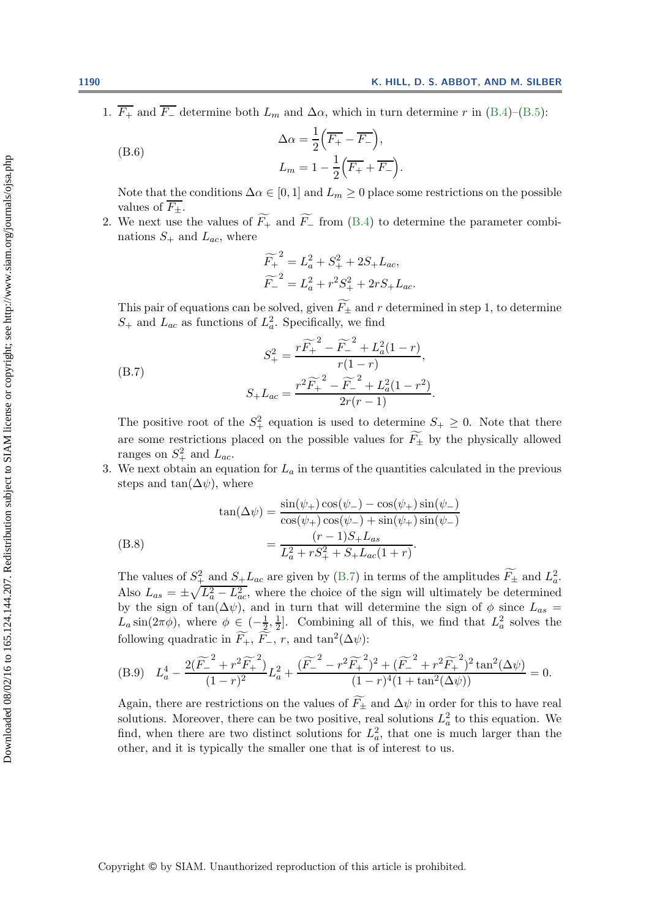1.  $\overline{F_+}$  and  $\overline{F_-}$  determine both  $L_m$  and  $\Delta \alpha$ , which in turn determine r in [\(B.4\)](#page-26-2)–[\(B.5\)](#page-26-3):

$$
\Delta \alpha = \frac{1}{2} \left( \overline{F_+} - \overline{F_-} \right),
$$
  

$$
L_m = 1 - \frac{1}{2} \left( \overline{F_+} + \overline{F_-} \right).
$$

Note that the conditions  $\Delta \alpha \in [0, 1]$  and  $L_m \geq 0$  place some restrictions on the possible values of  $\overline{F_{\pm}}$ .

2. We next use the values of  $\widetilde{F_+}$  and  $\widetilde{F_-}$  from [\(B.4\)](#page-26-2) to determine the parameter combinations  $S_+$  and  $L_{ac}$ , where

$$
\widetilde{F_+}^2 = L_a^2 + S_+^2 + 2S_+ L_{ac},
$$
  

$$
\widetilde{F_-}^2 = L_a^2 + r^2 S_+^2 + 2r S_+ L_{ac}.
$$

This pair of equations can be solved, given  $\widetilde{F}_{\pm}$  and r determined in step 1, to determine  $S_+$  and  $L_{ac}$  as functions of  $L_a^2$ . Specifically, we find

<span id="page-27-0"></span>(B.7)  
\n
$$
S_{+}^{2} = \frac{r\widetilde{F_{+}}^{2} - \widetilde{F_{-}}^{2} + L_{a}^{2}(1-r)}{r(1-r)},
$$
\n
$$
S_{+}L_{ac} = \frac{r^{2}\widetilde{F_{+}}^{2} - \widetilde{F_{-}}^{2} + L_{a}^{2}(1-r^{2})}{2r(r-1)}.
$$

The positive root of the  $S_+^2$  equation is used to determine  $S_+ \geq 0$ . Note that there are some restrictions placed on the possible values for  $\widetilde{F}_{\pm}$  by the physically allowed ranges on  $S^2_+$  and  $L_{ac}$ .

3. We next obtain an equation for  $L_a$  in terms of the quantities calculated in the previous steps and  $tan(\Delta \psi)$ , where

(B.8) 
$$
\tan(\Delta \psi) = \frac{\sin(\psi_+) \cos(\psi_-) - \cos(\psi_+) \sin(\psi_-)}{\cos(\psi_+) \cos(\psi_-) + \sin(\psi_+) \sin(\psi_-)} \n= \frac{(r-1)S_+ L_{as}}{L_a^2 + rS_+^2 + S_+ L_{ac}(1+r)}.
$$

<span id="page-27-3"></span>The values of  $S^2_+$  and  $S_+L_{ac}$  are given by [\(B.7\)](#page-27-0) in terms of the amplitudes  $\widetilde{F_{\pm}}$  and  $L_a^2$ . Also  $L_{as} = \pm \sqrt{L_a^2 - L_{ac}^2}$ , where the choice of the sign will ultimately be determined by the sign of tan( $\Delta\psi$ ), and in turn that will determine the sign of  $\phi$  since  $L_{as}$  =  $L_a \sin(2\pi\phi)$ , where  $\phi \in (-\frac{1}{2}, \frac{1}{2}]$ . Combining all of this, we find that  $L_a^2$  solves the following quadratic in  $\widetilde{F_+}, \widetilde{F_-}, r$ , and  $\tan^2(\Delta \psi)$ :

<span id="page-27-2"></span>(B.9) 
$$
L_a^4 - \frac{2(\widetilde{F}_-^2 + r^2 \widetilde{F}_+^2)}{(1-r)^2} L_a^2 + \frac{(\widetilde{F}_-^2 - r^2 \widetilde{F}_+^2)^2 + (\widetilde{F}_-^2 + r^2 \widetilde{F}_+^2)^2 \tan^2(\Delta \psi)}{(1-r)^4 (1 + \tan^2(\Delta \psi))} = 0.
$$

Again, there are restrictions on the values of  $\widetilde{F}_{\pm}$  and  $\Delta \psi$  in order for this to have real solutions. Moreover, there can be two positive, real solutions  $L<sub>a</sub><sup>2</sup>$  to this equation. We find, when there are two distinct solutions for  $L<sub>a</sub><sup>2</sup>$ , that one is much larger than the other, and it is typically the smaller one that is of interest to us.

Copyright © by SIAM. Unauthorized reproduction of this article is prohibited.

<span id="page-27-1"></span>(B.6)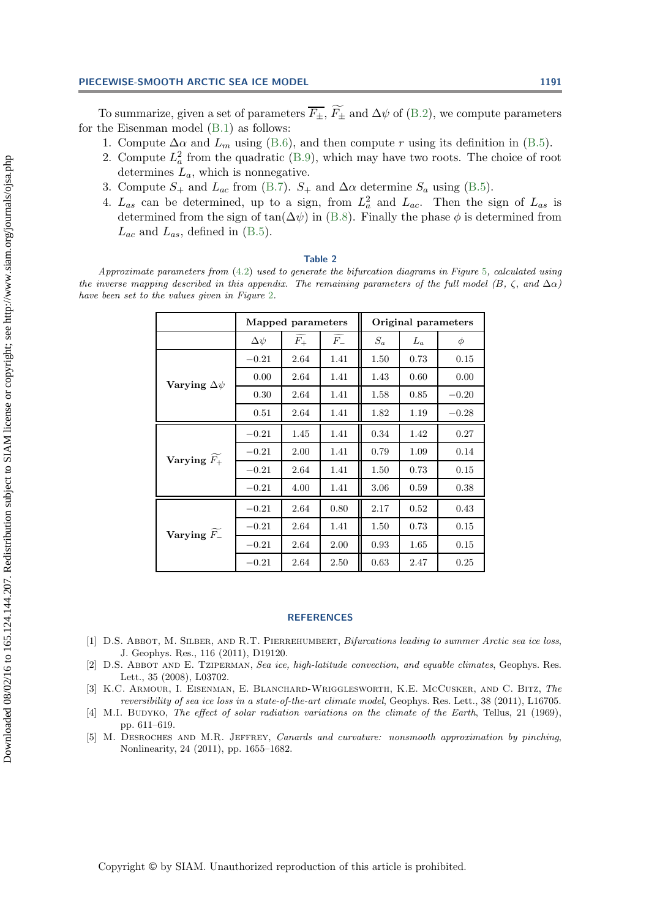To summarize, given a set of parameters  $\overline{F_{\pm}}, \widetilde{F_{\pm}}$  and  $\Delta \psi$  of [\(B.2\)](#page-26-4), we compute parameters for the Eisenman model [\(B.1\)](#page-26-5) as follows:

- 1. Compute  $\Delta \alpha$  and  $L_m$  using [\(B.6\)](#page-27-1), and then compute r using its definition in [\(B.5\)](#page-26-3).
- 2. Compute  $L<sub>a</sub><sup>2</sup>$  from the quadratic [\(B.9\)](#page-27-2), which may have two roots. The choice of root determines  $L_a$ , which is nonnegative.
- 3. Compute  $S_+$  and  $L_{ac}$  from [\(B.7\)](#page-27-0).  $S_+$  and  $\Delta \alpha$  determine  $S_a$  using [\(B.5\)](#page-26-3).
- 4.  $L_{as}$  can be determined, up to a sign, from  $L_a^2$  and  $L_{ac}$ . Then the sign of  $L_{as}$  is determined from the sign of  $tan(\Delta \psi)$  in [\(B.8\)](#page-27-3). Finally the phase  $\phi$  is determined from  $L_{ac}$  and  $L_{as}$ , defined in [\(B.5\)](#page-26-3).

#### **Table 2**

<span id="page-28-4"></span>Approximate parameters from [\(4.2\)](#page-13-0) used to generate the bifurcation diagrams in Figure [5](#page-18-0), calculated using the inverse mapping described in this appendix. The remaining parameters of the full model  $(B, \zeta,$  and  $\Delta \alpha)$ <br>have been attached when since in Figure 2. have been set to the values given in Figure [2](#page-13-1).

|                             |              | Mapped parameters |                  | Original parameters |       |         |  |
|-----------------------------|--------------|-------------------|------------------|---------------------|-------|---------|--|
|                             | $\Delta\psi$ | $\widetilde{F_+}$ | $\overline{F_-}$ | $S_a$               | $L_a$ | φ       |  |
| Varying $\Delta\psi$        | $-0.21$      | 2.64              | 1.41             | 1.50                | 0.73  | 0.15    |  |
|                             | 0.00         | 2.64              | 1.41             | 1.43                | 0.60  | 0.00    |  |
|                             | 0.30         | 2.64              | 1.41             | 1.58                | 0.85  | $-0.20$ |  |
|                             | 0.51         | 2.64              | 1.41             | 1.82                | 1.19  | $-0.28$ |  |
|                             | $-0.21$      | 1.45              | 1.41             | 0.34                | 1.42  | 0.27    |  |
| Varying $\widetilde{F_+}$   | $-0.21$      | 2.00              | 1.41             | 0.79                | 1.09  | 0.14    |  |
|                             | $-0.21$      | 2.64              | 1.41             | 1.50                | 0.73  | 0.15    |  |
|                             | $-0.21$      | 4.00              | 1.41             | 3.06                | 0.59  | 0.38    |  |
|                             | $-0.21$      | 2.64              | 0.80             | 2.17                | 0.52  | 0.43    |  |
| Varying $\widetilde{F}_{-}$ | $-0.21$      | 2.64              | 1.41             | 1.50                | 0.73  | 0.15    |  |
|                             | $-0.21$      | 2.64              | 2.00             | 0.93                | 1.65  | 0.15    |  |
|                             | $-0.21$      | 2.64              | 2.50             | 0.63                | 2.47  | 0.25    |  |

### **REFERENCES**

- <span id="page-28-0"></span>[1] D.S. ABBOT, M. SILBER, AND R.T. PIERREHUMBERT, Bifurcations leading to summer Arctic sea ice loss, J. Geophys. Res., 116 (2011), D19120.
- <span id="page-28-5"></span>[2] D.S. Abbot and E. Tziperman, Sea ice, high-latitude convection, and equable climates, Geophys. Res. Lett., 35 (2008), L03702.
- <span id="page-28-1"></span>[3] K.C. ARMOUR, I. EISENMAN, E. BLANCHARD-WRIGGLESWORTH, K.E. McCUSKER, AND C. BITZ, The reversibility of sea ice loss in a state-of-the-art climate model, Geophys. Res. Lett., 38 (2011), L16705.
- <span id="page-28-2"></span>[4] M.I. BUDYKO, The effect of solar radiation variations on the climate of the Earth, Tellus, 21 (1969), pp. 611–619.
- <span id="page-28-3"></span>[5] M. Desroches and M.R. Jeffrey, Canards and curvature: nonsmooth approximation by pinching, Nonlinearity, 24 (2011), pp. 1655–1682.